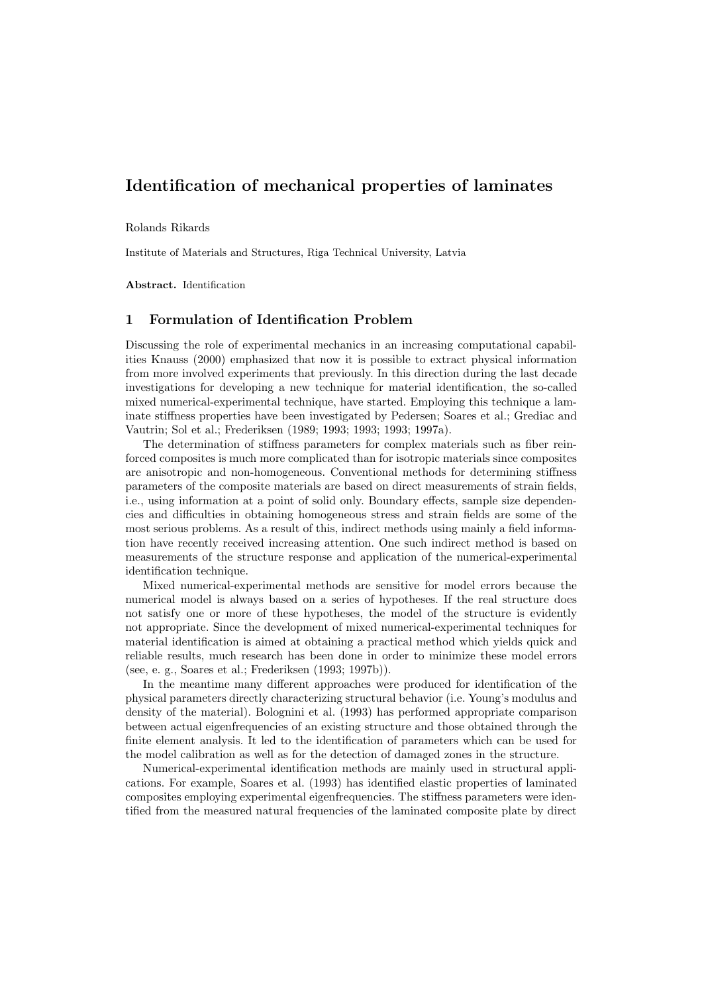# **Identification of mechanical properties of laminates**

Rolands Rikards

Institute of Materials and Structures, Riga Technical University, Latvia

**Abstract.** Identification

# **1 Formulation of Identification Problem**

Discussing the role of experimental mechanics in an increasing computational capabilities Knauss (2000) emphasized that now it is possible to extract physical information from more involved experiments that previously. In this direction during the last decade investigations for developing a new technique for material identification, the so-called mixed numerical-experimental technique, have started. Employing this technique a laminate stiffness properties have been investigated by Pedersen; Soares et al.; Grediac and Vautrin; Sol et al.; Frederiksen (1989; 1993; 1993; 1993; 1997a).

The determination of stiffness parameters for complex materials such as fiber reinforced composites is much more complicated than for isotropic materials since composites are anisotropic and non-homogeneous. Conventional methods for determining stiffness parameters of the composite materials are based on direct measurements of strain fields, i.e., using information at a point of solid only. Boundary effects, sample size dependencies and difficulties in obtaining homogeneous stress and strain fields are some of the most serious problems. As a result of this, indirect methods using mainly a field information have recently received increasing attention. One such indirect method is based on measurements of the structure response and application of the numerical-experimental identification technique.

Mixed numerical-experimental methods are sensitive for model errors because the numerical model is always based on a series of hypotheses. If the real structure does not satisfy one or more of these hypotheses, the model of the structure is evidently not appropriate. Since the development of mixed numerical-experimental techniques for material identification is aimed at obtaining a practical method which yields quick and reliable results, much research has been done in order to minimize these model errors (see, e. g., Soares et al.; Frederiksen (1993; 1997b)).

In the meantime many different approaches were produced for identification of the physical parameters directly characterizing structural behavior (i.e. Young's modulus and density of the material). Bolognini et al. (1993) has performed appropriate comparison between actual eigenfrequencies of an existing structure and those obtained through the finite element analysis. It led to the identification of parameters which can be used for the model calibration as well as for the detection of damaged zones in the structure.

Numerical-experimental identification methods are mainly used in structural applications. For example, Soares et al. (1993) has identified elastic properties of laminated composites employing experimental eigenfrequencies. The stiffness parameters were identified from the measured natural frequencies of the laminated composite plate by direct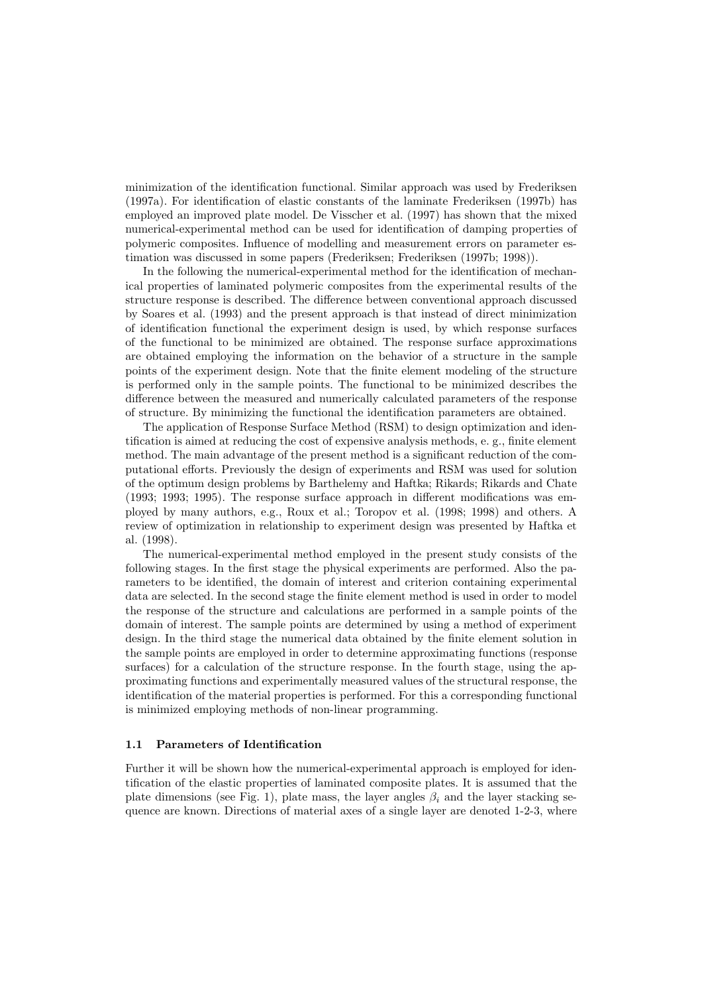minimization of the identification functional. Similar approach was used by Frederiksen (1997a). For identification of elastic constants of the laminate Frederiksen (1997b) has employed an improved plate model. De Visscher et al. (1997) has shown that the mixed numerical-experimental method can be used for identification of damping properties of polymeric composites. Influence of modelling and measurement errors on parameter estimation was discussed in some papers (Frederiksen; Frederiksen (1997b; 1998)).

In the following the numerical-experimental method for the identification of mechanical properties of laminated polymeric composites from the experimental results of the structure response is described. The difference between conventional approach discussed by Soares et al. (1993) and the present approach is that instead of direct minimization of identification functional the experiment design is used, by which response surfaces of the functional to be minimized are obtained. The response surface approximations are obtained employing the information on the behavior of a structure in the sample points of the experiment design. Note that the finite element modeling of the structure is performed only in the sample points. The functional to be minimized describes the difference between the measured and numerically calculated parameters of the response of structure. By minimizing the functional the identification parameters are obtained.

The application of Response Surface Method (RSM) to design optimization and identification is aimed at reducing the cost of expensive analysis methods, e. g., finite element method. The main advantage of the present method is a significant reduction of the computational efforts. Previously the design of experiments and RSM was used for solution of the optimum design problems by Barthelemy and Haftka; Rikards; Rikards and Chate (1993; 1993; 1995). The response surface approach in different modifications was employed by many authors, e.g., Roux et al.; Toropovet al. (1998; 1998) and others. A review of optimization in relationship to experiment design was presented by Haftka et al. (1998).

The numerical-experimental method employed in the present study consists of the following stages. In the first stage the physical experiments are performed. Also the parameters to be identified, the domain of interest and criterion containing experimental data are selected. In the second stage the finite element method is used in order to model the response of the structure and calculations are performed in a sample points of the domain of interest. The sample points are determined by using a method of experiment design. In the third stage the numerical data obtained by the finite element solution in the sample points are employed in order to determine approximating functions (response surfaces) for a calculation of the structure response. In the fourth stage, using the approximating functions and experimentally measured values of the structural response, the identification of the material properties is performed. For this a corresponding functional is minimized employing methods of non-linear programming.

#### **1.1 Parameters of Identification**

Further it will be shown how the numerical-experimental approach is employed for identification of the elastic properties of laminated composite plates. It is assumed that the plate dimensions (see Fig. 1), plate mass, the layer angles  $\beta_i$  and the layer stacking sequence are known. Directions of material axes of a single layer are denoted 1-2-3, where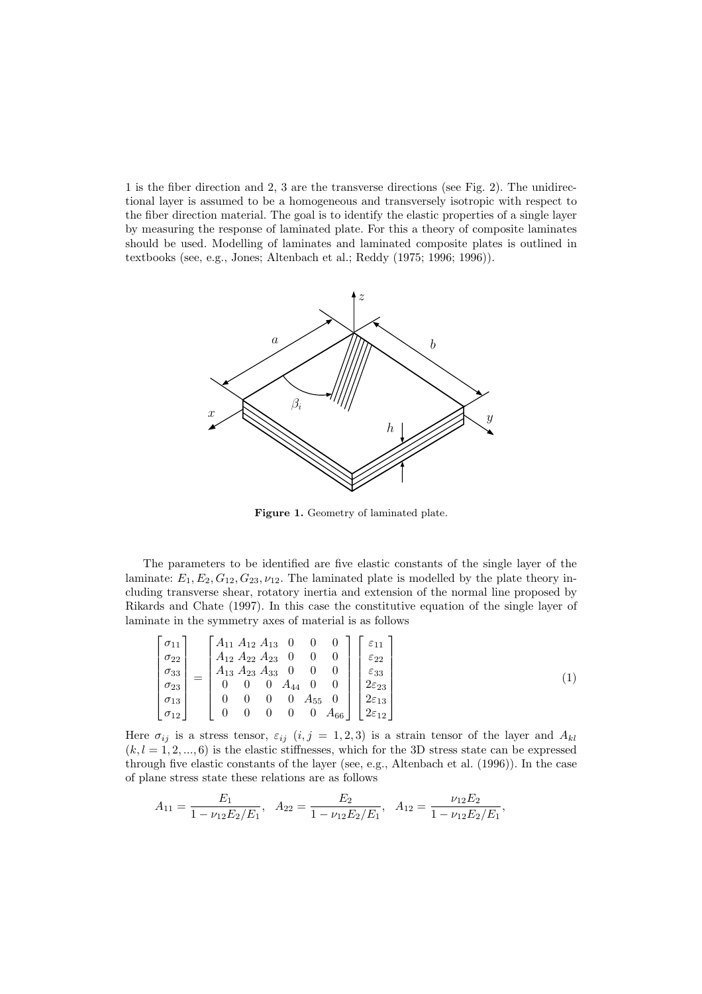1 is the fiber direction and 2, 3 are the transverse directions (see Fig. 2). The unidirectional layer is assumed to be a homogeneous and transversely isotropic with respect to the fiber direction material. The goal is to identify the elastic properties of a single layer by measuring the response of laminated plate. For this a theory of composite laminates should be used. Modelling of laminates and laminated composite plates is outlined in textbooks (see, e.g., Jones; Altenbach et al.; Reddy (1975; 1996; 1996)).



**Figure 1.** Geometry of laminated plate.

The parameters to be identified are five elastic constants of the single layer of the laminate:  $E_1, E_2, G_{12}, G_{23}, \nu_{12}$ . The laminated plate is modelled by the plate theory including transverse shear, rotatory inertia and extension of the normal line proposed by Rikards and Chate (1997). In this case the constitutive equation of the single layer of laminate in the symmetry axes of material is as follows

$$
\begin{bmatrix}\n\sigma_{11} \\
\sigma_{22} \\
\sigma_{33} \\
\sigma_{23} \\
\sigma_{13} \\
\sigma_{12}\n\end{bmatrix} = \begin{bmatrix}\nA_{11} A_{12} A_{13} & 0 & 0 & 0 \\
A_{12} A_{22} A_{23} & 0 & 0 & 0 \\
A_{13} A_{23} A_{33} & 0 & 0 & 0 \\
0 & 0 & 0 & A_{44} & 0 & 0 \\
0 & 0 & 0 & 0 & A_{55} & 0 \\
0 & 0 & 0 & 0 & 0 & A_{66}\n\end{bmatrix} \begin{bmatrix}\n\varepsilon_{11} \\
\varepsilon_{22} \\
\varepsilon_{33} \\
2\varepsilon_{23} \\
2\varepsilon_{13} \\
2\varepsilon_{12}\n\end{bmatrix}
$$
\n(1)

Here  $\sigma_{ij}$  is a stress tensor,  $\varepsilon_{ij}$   $(i, j = 1, 2, 3)$  is a strain tensor of the layer and  $A_{kl}$  $(k, l = 1, 2, ..., 6)$  is the elastic stiffnesses, which for the 3D stress state can be expressed through five elastic constants of the layer (see, e.g., Altenbach et al. (1996)). In the case of plane stress state these relations are as follows

$$
A_{11} = \frac{E_1}{1 - \nu_{12}E_2/E_1}, \quad A_{22} = \frac{E_2}{1 - \nu_{12}E_2/E_1}, \quad A_{12} = \frac{\nu_{12}E_2}{1 - \nu_{12}E_2/E_1},
$$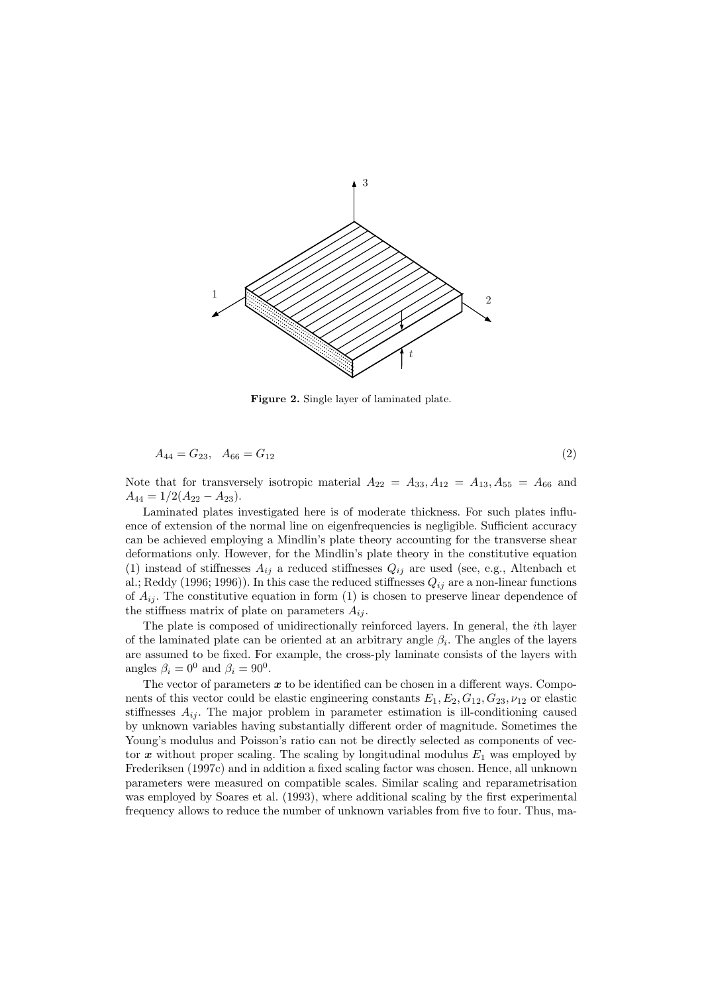

**Figure 2.** Single layer of laminated plate.

$$
A_{44} = G_{23}, \quad A_{66} = G_{12} \tag{2}
$$

Note that for transversely isotropic material  $A_{22} = A_{33}$ ,  $A_{12} = A_{13}$ ,  $A_{55} = A_{66}$  and  $A_{44} = 1/2(A_{22} - A_{23}).$ 

Laminated plates investigated here is of moderate thickness. For such plates influence of extension of the normal line on eigenfrequencies is negligible. Sufficient accuracy can be achieved employing a Mindlin's plate theory accounting for the transverse shear deformations only. However, for the Mindlin's plate theory in the constitutive equation (1) instead of stiffnesses  $A_{ij}$  a reduced stiffnesses  $Q_{ij}$  are used (see, e.g., Altenbach et al.; Reddy (1996; 1996)). In this case the reduced stiffnesses  $Q_{ij}$  are a non-linear functions of  $A_{ij}$ . The constitutive equation in form (1) is chosen to preserve linear dependence of the stiffness matrix of plate on parameters  $A_{ij}$ .

The plate is composed of unidirectionally reinforced layers. In general, the ith layer of the laminated plate can be oriented at an arbitrary angle  $\beta_i$ . The angles of the layers are assumed to be fixed. For example, the cross-ply laminate consists of the layers with angles  $\beta_i = 0^0$  and  $\beta_i = 90^0$ .

The vector of parameters  $x$  to be identified can be chosen in a different ways. Components of this vector could be elastic engineering constants  $E_1, E_2, G_{12}, G_{23}, \nu_{12}$  or elastic stiffnesses  $A_{ij}$ . The major problem in parameter estimation is ill-conditioning caused by unknown variables having substantially different order of magnitude. Sometimes the Young's modulus and Poisson's ratio can not be directly selected as components of vector  $x$  without proper scaling. The scaling by longitudinal modulus  $E_1$  was employed by Frederiksen (1997c) and in addition a fixed scaling factor was chosen. Hence, all unknown parameters were measured on compatible scales. Similar scaling and reparametrisation was employed by Soares et al. (1993), where additional scaling by the first experimental frequency allows to reduce the number of unknown variables from five to four. Thus, ma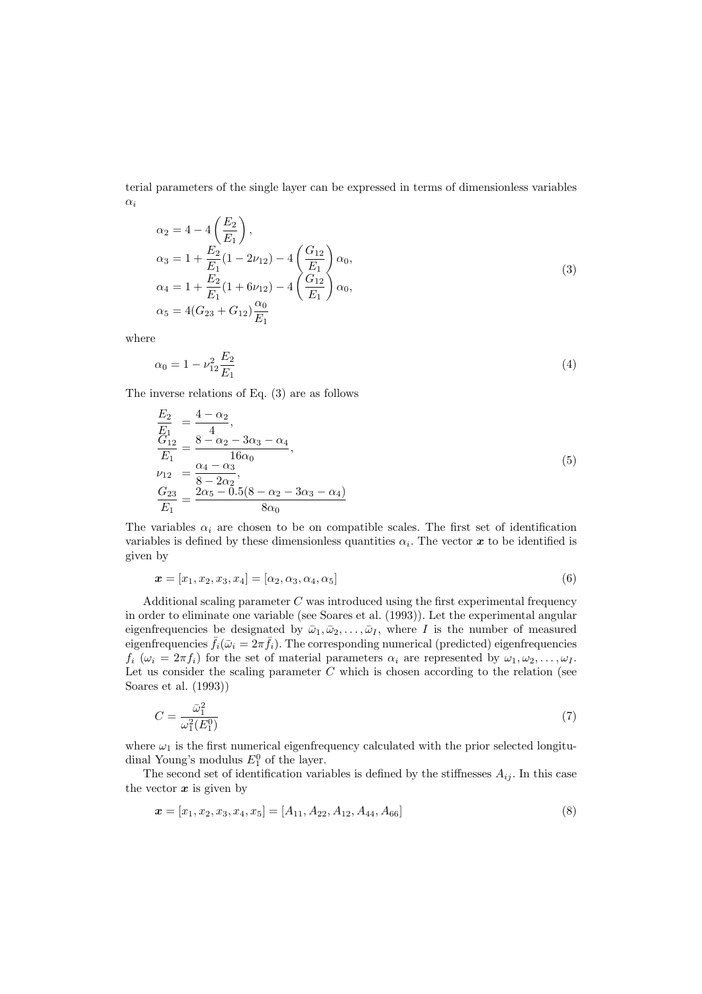terial parameters of the single layer can be expressed in terms of dimensionless variables  $\alpha_i$ 

$$
\alpha_2 = 4 - 4\left(\frac{E_2}{E_1}\right),
$$
  
\n
$$
\alpha_3 = 1 + \frac{E_2}{E_1}(1 - 2\nu_{12}) - 4\left(\frac{G_{12}}{E_1}\right)\alpha_0,
$$
  
\n
$$
\alpha_4 = 1 + \frac{E_2}{E_1}(1 + 6\nu_{12}) - 4\left(\frac{G_{12}}{E_1}\right)\alpha_0,
$$
  
\n
$$
\alpha_5 = 4(G_{23} + G_{12})\frac{\alpha_0}{E_1}
$$
\n(3)

where

$$
\alpha_0 = 1 - \nu_{12}^2 \frac{E_2}{E_1} \tag{4}
$$

The inverse relations of Eq. (3) are as follows

$$
\frac{E_2}{E_1} = \frac{4 - \alpha_2}{4}, \n\frac{G_{12}}{E_1} = \frac{8 - \alpha_2 - 3\alpha_3 - \alpha_4}{16\alpha_0}, \n\nu_{12} = \frac{\alpha_4 - \alpha_3}{8 - 2\alpha_2}, \n\frac{G_{23}}{E_1} = \frac{2\alpha_5 - 0.5(8 - \alpha_2 - 3\alpha_3 - \alpha_4)}{8\alpha_0}
$$
\n(5)

The variables  $\alpha_i$  are chosen to be on compatible scales. The first set of identification variables is defined by these dimensionless quantities  $\alpha_i$ . The vector  $\boldsymbol{x}$  to be identified is given by

$$
\boldsymbol{x} = [x_1, x_2, x_3, x_4] = [\alpha_2, \alpha_3, \alpha_4, \alpha_5]
$$
\n(6)

Additional scaling parameter  $C$  was introduced using the first experimental frequency in order to eliminate one variable (see Soares et al. (1993)). Let the experimental angular eigenfrequencies be designated by  $\bar{\omega}_1, \bar{\omega}_2, \ldots, \bar{\omega}_I$ , where I is the number of measured eigenfrequencies  $\bar{f}_i(\bar{\omega}_i = 2\pi \bar{f}_i)$ . The corresponding numerical (predicted) eigenfrequencies  $f_i$  ( $\omega_i = 2\pi f_i$ ) for the set of material parameters  $\alpha_i$  are represented by  $\omega_1, \omega_2, \ldots, \omega_I$ . Let us consider the scaling parameter  $C$  which is chosen according to the relation (see Soares et al. (1993))

$$
C = \frac{\bar{\omega}_1^2}{\omega_1^2(E_1^0)}\tag{7}
$$

where  $\omega_1$  is the first numerical eigenfrequency calculated with the prior selected longitudinal Young's modulus  $E_1^0$  of the layer.

The second set of identification variables is defined by the stiffnesses  $A_{ij}$ . In this case the vector  $x$  is given by

$$
\boldsymbol{x} = [x_1, x_2, x_3, x_4, x_5] = [A_{11}, A_{22}, A_{12}, A_{44}, A_{66}] \tag{8}
$$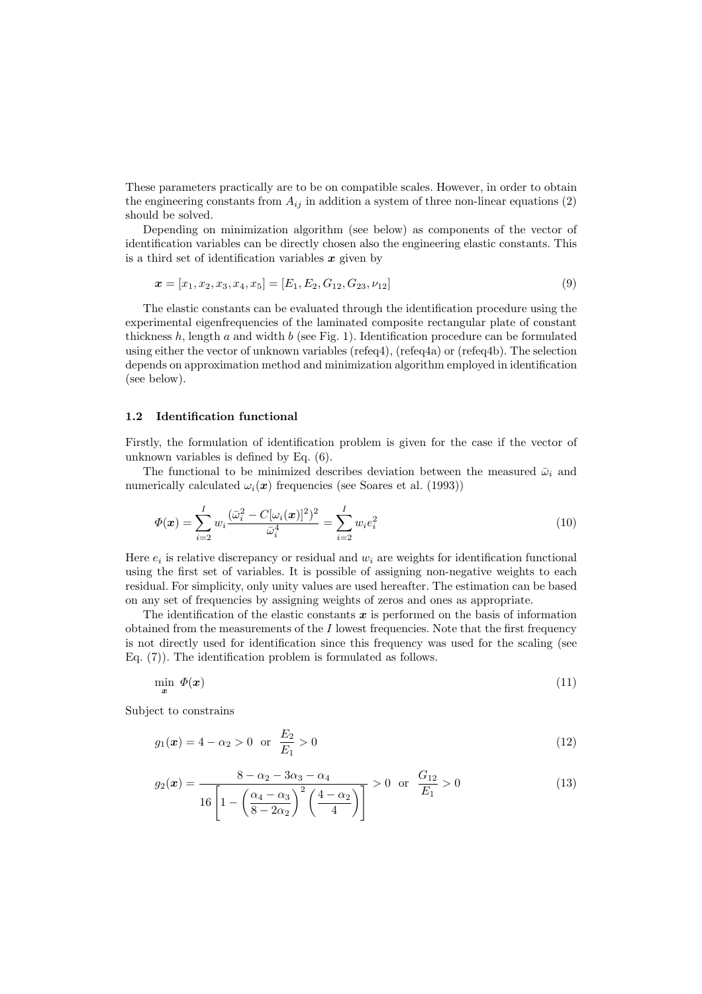These parameters practically are to be on compatible scales. However, in order to obtain the engineering constants from  $A_{ij}$  in addition a system of three non-linear equations (2) should be solved.

Depending on minimization algorithm (see below) as components of the vector of identification variables can be directly chosen also the engineering elastic constants. This is a third set of identification variables *x* given by

$$
\boldsymbol{x} = [x_1, x_2, x_3, x_4, x_5] = [E_1, E_2, G_{12}, G_{23}, \nu_{12}] \tag{9}
$$

The elastic constants can be evaluated through the identification procedure using the experimental eigenfrequencies of the laminated composite rectangular plate of constant thickness  $h$ , length a and width b (see Fig. 1). Identification procedure can be formulated using either the vector of unknown variables (refeq4), (refeq4a) or (refeq4b). The selection depends on approximation method and minimization algorithm employed in identification (see below).

#### **1.2 Identification functional**

Firstly, the formulation of identification problem is given for the case if the vector of unknown variables is defined by Eq. (6).

The functional to be minimized describes deviation between the measured  $\bar{\omega}_i$  and numerically calculated  $\omega_i(x)$  frequencies (see Soares et al. (1993))

$$
\Phi(\boldsymbol{x}) = \sum_{i=2}^{I} w_i \frac{(\bar{\omega}_i^2 - C[\omega_i(\boldsymbol{x})]^2)^2}{\bar{\omega}_i^4} = \sum_{i=2}^{I} w_i e_i^2
$$
\n(10)

Here  $e_i$  is relative discrepancy or residual and  $w_i$  are weights for identification functional using the first set of variables. It is possible of assigning non-negative weights to each residual. For simplicity, only unity values are used hereafter. The estimation can be based on any set of frequencies by assigning weights of zeros and ones as appropriate.

The identification of the elastic constants  $x$  is performed on the basis of information obtained from the measurements of the  $I$  lowest frequencies. Note that the first frequency is not directly used for identification since this frequency was used for the scaling (see Eq. (7)). The identification problem is formulated as follows.

$$
\min_{\bm{x}} \ \Phi(\bm{x}) \tag{11}
$$

Subject to constrains

$$
g_1(\mathbf{x}) = 4 - \alpha_2 > 0
$$
 or  $\frac{E_2}{E_1} > 0$  (12)

$$
g_2(x) = \frac{8 - \alpha_2 - 3\alpha_3 - \alpha_4}{16\left[1 - \left(\frac{\alpha_4 - \alpha_3}{8 - 2\alpha_2}\right)^2 \left(\frac{4 - \alpha_2}{4}\right)\right]} > 0 \quad \text{or} \quad \frac{G_{12}}{E_1} > 0 \tag{13}
$$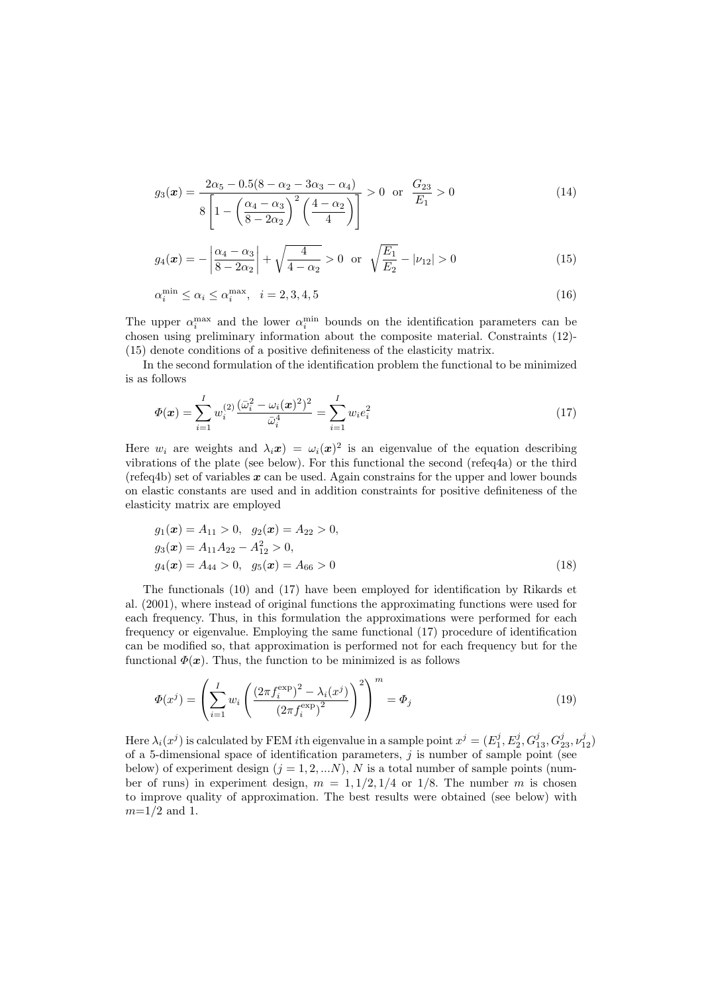$$
g_3(x) = \frac{2\alpha_5 - 0.5(8 - \alpha_2 - 3\alpha_3 - \alpha_4)}{8\left[1 - \left(\frac{\alpha_4 - \alpha_3}{8 - 2\alpha_2}\right)^2 \left(\frac{4 - \alpha_2}{4}\right)\right]} > 0 \quad \text{or} \quad \frac{G_{23}}{E_1} > 0 \tag{14}
$$

$$
g_4(x) = -\left|\frac{\alpha_4 - \alpha_3}{8 - 2\alpha_2}\right| + \sqrt{\frac{4}{4 - \alpha_2}} > 0 \quad \text{or} \quad \sqrt{\frac{E_1}{E_2}} - |\nu_{12}| > 0 \tag{15}
$$

$$
\alpha_i^{\min} \le \alpha_i \le \alpha_i^{\max}, \quad i = 2, 3, 4, 5 \tag{16}
$$

The upper  $\alpha_i^{\max}$  and the lower  $\alpha_i^{\min}$  bounds on the identification parameters can be chosen using preliminary information about the composite material. Constraints (12)- (15) denote conditions of a positive definiteness of the elasticity matrix.

In the second formulation of the identification problem the functional to be minimized is as follows

$$
\Phi(\boldsymbol{x}) = \sum_{i=1}^{I} w_i^{(2)} \frac{(\bar{\omega}_i^2 - \omega_i(\boldsymbol{x})^2)^2}{\bar{\omega}_i^4} = \sum_{i=1}^{I} w_i e_i^2
$$
\n(17)

Here  $w_i$  are weights and  $\lambda_i x = \omega_i(x)^2$  is an eigenvalue of the equation describing vibrations of the plate (see below). For this functional the second (refeq4a) or the third (refeq4b) set of variables *x* can be used. Again constrains for the upper and lower bounds on elastic constants are used and in addition constraints for positive definiteness of the elasticity matrix are employed

$$
g_1(\mathbf{x}) = A_{11} > 0, \quad g_2(\mathbf{x}) = A_{22} > 0,g_3(\mathbf{x}) = A_{11}A_{22} - A_{12}^2 > 0,g_4(\mathbf{x}) = A_{44} > 0, \quad g_5(\mathbf{x}) = A_{66} > 0
$$
\n(18)

The functionals (10) and (17) have been employed for identification by Rikards et al. (2001), where instead of original functions the approximating functions were used for each frequency. Thus, in this formulation the approximations were performed for each frequency or eigenvalue. Employing the same functional (17) procedure of identification can be modified so, that approximation is performed not for each frequency but for the functional  $\Phi(x)$ . Thus, the function to be minimized is as follows

$$
\Phi(x^{j}) = \left(\sum_{i=1}^{I} w_{i} \left(\frac{(2\pi f_{i}^{\exp})^{2} - \lambda_{i}(x^{j})}{(2\pi f_{i}^{\exp})^{2}}\right)^{2}\right)^{m} = \Phi_{j}
$$
\n(19)

Here  $\lambda_i(x^j)$  is calculated by FEM *i*th eigenvalue in a sample point  $x^j = (E_1^j, E_2^j, G_{13}^j, G_{23}^j, \nu_{12}^j)$ of a 5-dimensional space of identification parameters,  $j$  is number of sample point (see below) of experiment design  $(j = 1, 2, ...N)$ , N is a total number of sample points (number of runs) in experiment design,  $m = 1, 1/2, 1/4$  or 1/8. The number m is chosen to improve quality of approximation. The best results were obtained (see below) with  $m=1/2$  and 1.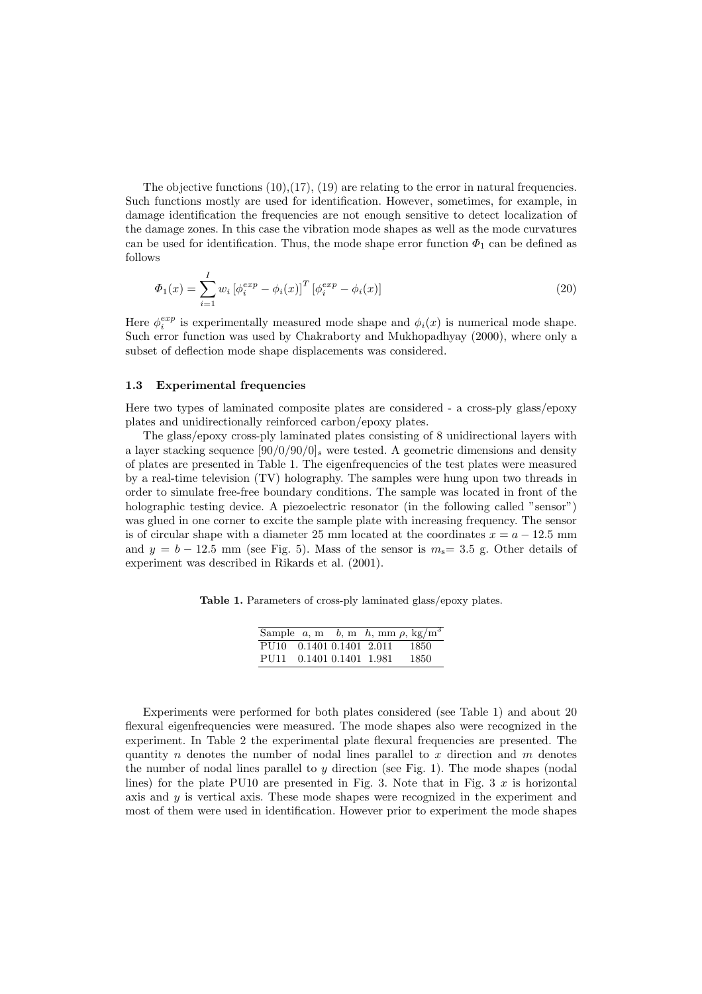The objective functions  $(10),(17),(19)$  are relating to the error in natural frequencies. Such functions mostly are used for identification. However, sometimes, for example, in damage identification the frequencies are not enough sensitive to detect localization of the damage zones. In this case the vibration mode shapes as well as the mode curvatures can be used for identification. Thus, the mode shape error function  $\Phi_1$  can be defined as follows

$$
\Phi_1(x) = \sum_{i=1}^{I} w_i \left[ \phi_i^{exp} - \phi_i(x) \right]^T \left[ \phi_i^{exp} - \phi_i(x) \right] \tag{20}
$$

Here  $\phi_i^{exp}$  is experimentally measured mode shape and  $\phi_i(x)$  is numerical mode shape. Such error function was used by Chakraborty and Mukhopadhyay (2000), where only a subset of deflection mode shape displacements was considered.

#### **1.3 Experimental frequencies**

Here two types of laminated composite plates are considered - a cross-ply glass/epoxy plates and unidirectionally reinforced carbon/epoxy plates.

The glass/epoxy cross-ply laminated plates consisting of 8 unidirectional layers with a layer stacking sequence  $[90/0/90/0]$ , were tested. A geometric dimensions and density of plates are presented in Table 1. The eigenfrequencies of the test plates were measured by a real-time television (TV) holography. The samples were hung upon two threads in order to simulate free-free boundary conditions. The sample was located in front of the holographic testing device. A piezoelectric resonator (in the following called "sensor") was glued in one corner to excite the sample plate with increasing frequency. The sensor is of circular shape with a diameter 25 mm located at the coordinates  $x = a - 12.5$  mm and  $y = b - 12.5$  mm (see Fig. 5). Mass of the sensor is  $m<sub>s</sub> = 3.5$  g. Other details of experiment was described in Rikards et al. (2001).

**Table 1.** Parameters of cross-ply laminated glass/epoxy plates.

|                               |  | Sample $a, m$ $b, m$ $h, mm \rho, kg/m^3$ |
|-------------------------------|--|-------------------------------------------|
| PU10 0.1401 0.1401 2.011 1850 |  |                                           |
| PU11 0.1401 0.1401 1.981      |  | 1850                                      |

Experiments were performed for both plates considered (see Table 1) and about 20 flexural eigenfrequencies were measured. The mode shapes also were recognized in the experiment. In Table 2 the experimental plate flexural frequencies are presented. The quantity n denotes the number of nodal lines parallel to  $x$  direction and  $m$  denotes the number of nodal lines parallel to  $y$  direction (see Fig. 1). The mode shapes (nodal lines) for the plate PU10 are presented in Fig. 3. Note that in Fig.  $3 x$  is horizontal axis and y is vertical axis. These mode shapes were recognized in the experiment and most of them were used in identification. However prior to experiment the mode shapes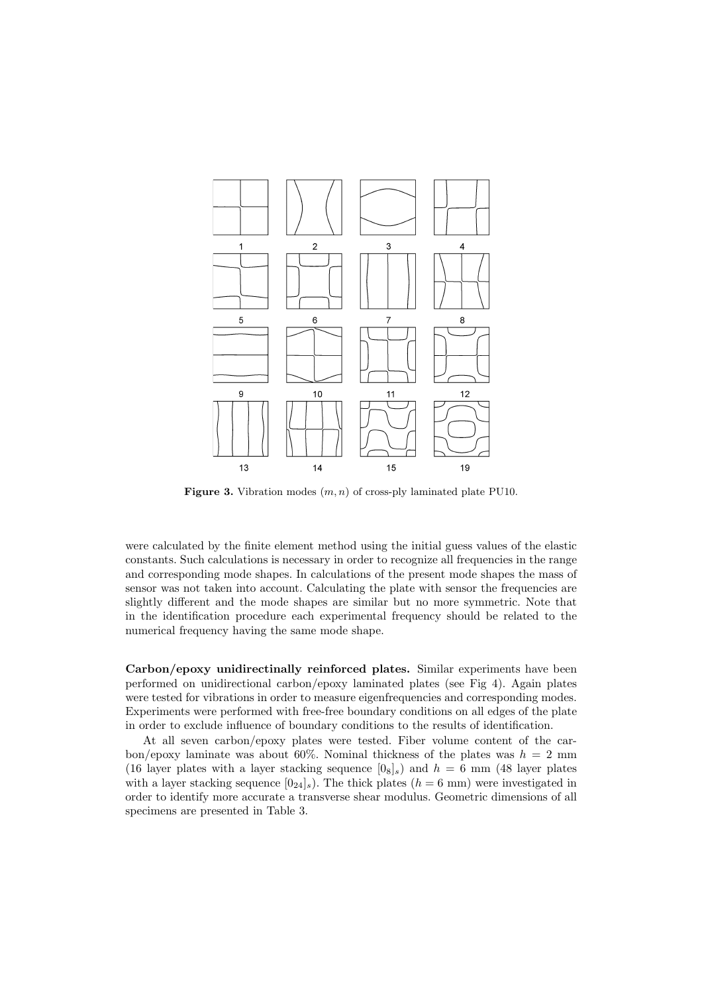

**Figure 3.** Vibration modes  $(m, n)$  of cross-ply laminated plate PU10.

were calculated by the finite element method using the initial guess values of the elastic constants. Such calculations is necessary in order to recognize all frequencies in the range and corresponding mode shapes. In calculations of the present mode shapes the mass of sensor was not taken into account. Calculating the plate with sensor the frequencies are slightly different and the mode shapes are similar but no more symmetric. Note that in the identification procedure each experimental frequency should be related to the numerical frequency having the same mode shape.

**Carbon/epoxy unidirectinally reinforced plates.** Similar experiments have been performed on unidirectional carbon/epoxy laminated plates (see Fig 4). Again plates were tested for vibrations in order to measure eigenfrequencies and corresponding modes. Experiments were performed with free-free boundary conditions on all edges of the plate in order to exclude influence of boundary conditions to the results of identification.

At all seven carbon/epoxy plates were tested. Fiber volume content of the carbon/epoxy laminate was about 60%. Nominal thickness of the plates was  $h = 2$  mm (16 layer plates with a layer stacking sequence  $[0_8]_s$ ) and  $h = 6$  mm (48 layer plates with a layer stacking sequence  $[0_{24}]_s$ . The thick plates  $(h = 6 \text{ mm})$  were investigated in order to identify more accurate a transverse shear modulus. Geometric dimensions of all specimens are presented in Table 3.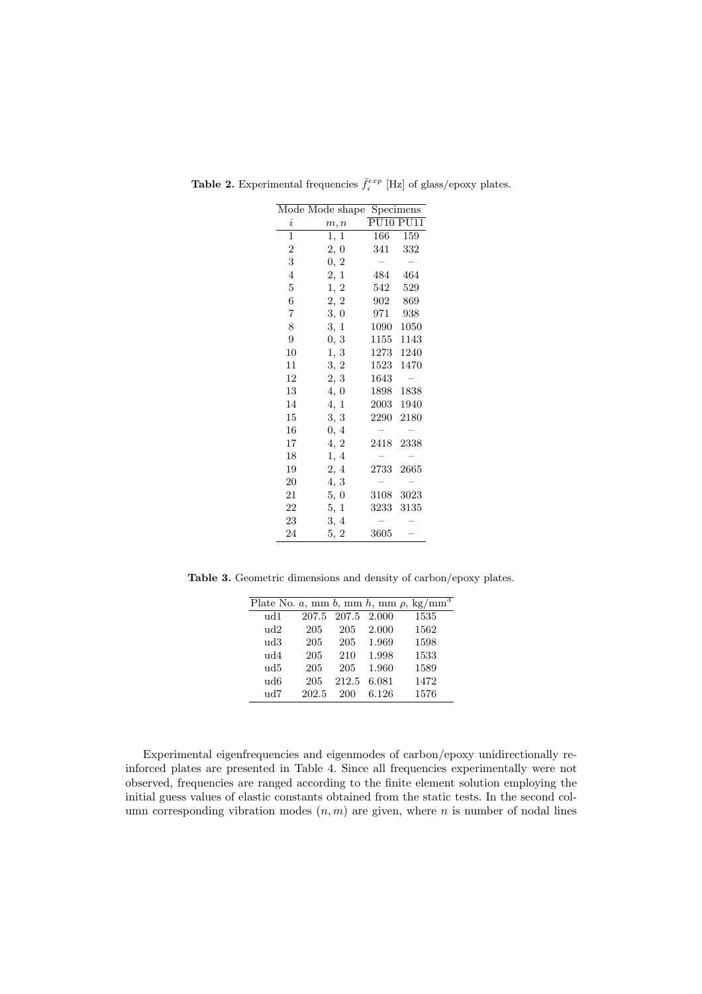|                | Mode Mode shape Specimens |      |                  |
|----------------|---------------------------|------|------------------|
| $\it i$        | m, n                      |      | <b>PU10 PU11</b> |
| $\mathbf{1}$   | 1, 1                      | 166  | 159              |
| $\overline{2}$ | 2, 0                      | 341  | 332              |
| 3              | 0, 2                      |      |                  |
| $\overline{4}$ | 2, 1                      | 484  | 464              |
| $\overline{5}$ | 1, 2                      | 542  | 529              |
| 6              | 2, 2                      | 902  | 869              |
| $\overline{7}$ | 3, 0                      | 971  | 938              |
| 8              | 3, 1                      | 1090 | 1050             |
| 9              | 0, 3                      | 1155 | 1143             |
| 10             | 1, 3                      | 1273 | 1240             |
| 11             | 3, 2                      | 1523 | 1470             |
| 12             | 2, 3                      | 1643 |                  |
| 13             | 4,0                       | 1898 | 1838             |
| 14             | 4, 1                      | 2003 | 1940             |
| 15             | 3, 3                      | 2290 | 2180             |
| 16             | 0, 4                      |      |                  |
| 17             | 4, 2                      | 2418 | 2338             |
| 18             | 1, 4                      |      |                  |
| 19             | 2,4                       | 2733 | 2665             |
| 20             | 4, 3                      |      |                  |
| 21             | 5, 0                      | 3108 | 3023             |
| 22             | 5, 1                      | 3233 | 3135             |
| 23             | 3, 4                      |      |                  |
| 24             | 5, 2                      | 3605 |                  |

**Table 2.** Experimental frequencies  $\bar{f}_i^{exp}$  [Hz] of glass/epoxy plates.

**Table 3.** Geometric dimensions and density of carbon/epoxy plates.

|              |       |       |       | Plate No. a, mm b, mm h, mm $\rho$ , kg/mm <sup>3</sup> |
|--------------|-------|-------|-------|---------------------------------------------------------|
| ud1          | 207.5 | 207.5 | 2.000 | 1535                                                    |
| ud2          | 205   | 205   | 2.000 | 1562                                                    |
| ud3          | 205   | 205   | 1.969 | 1598                                                    |
| $^{\rm nd4}$ | 205   | 210   | 1.998 | 1533                                                    |
| ud5          | 205   | 205   | 1.960 | 1589                                                    |
| ud6          | 205   | 212.5 | 6.081 | 1472                                                    |
| ud7          | 202.5 | 200   | 6.126 | 1576                                                    |

Experimental eigenfrequencies and eigenmodes of carbon/epoxy unidirectionally reinforced plates are presented in Table 4. Since all frequencies experimentally were not observed, frequencies are ranged according to the finite element solution employing the initial guess values of elastic constants obtained from the static tests. In the second column corresponding vibration modes  $(n, m)$  are given, where n is number of nodal lines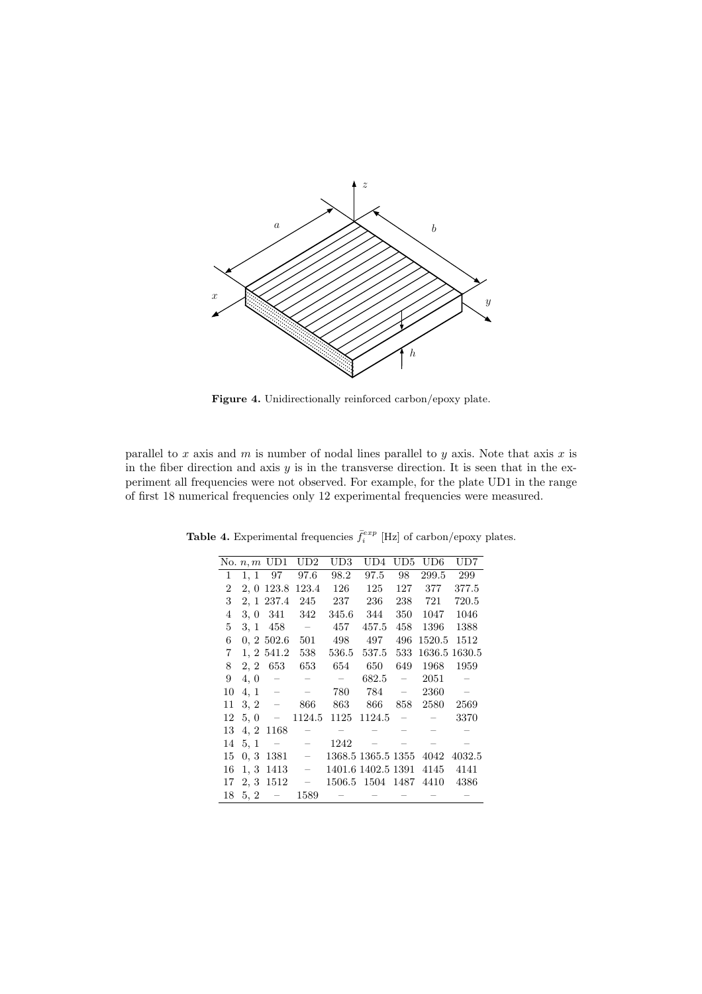

Figure 4. Unidirectionally reinforced carbon/epoxy plate.

parallel to x axis and  $m$  is number of nodal lines parallel to  $y$  axis. Note that axis  $x$  is in the fiber direction and axis  $y$  is in the transverse direction. It is seen that in the experiment all frequencies were not observed. For example, for the plate UD1 in the range of first 18 numerical frequencies only 12 experimental frequencies were measured.

|                | No. $n, m$ UD1  | UD2                         | $_{\rm UD3}$       | UD4                     | UD5                               | UD <sub>6</sub> | UD7                      |
|----------------|-----------------|-----------------------------|--------------------|-------------------------|-----------------------------------|-----------------|--------------------------|
| 1              | $1, 1 \quad 97$ | 97.6                        | 98.2               | 97.5 98                 |                                   | 299.5 299       |                          |
| $\overline{2}$ | 2, 0 1 23.8     | 123.4                       | 126                | 125                     | 127                               | 377             | 377.5                    |
| 3 <sup>1</sup> | 2, 1 237.4      |                             | 245 237            | 236                     |                                   | 238 721         | 720.5                    |
| 4              |                 | 3, 0 341 342                | 345.6              | 344                     | 350                               | 1047            | 1046                     |
| $5^{\circ}$    |                 | $3, 1$ $458$ $-$            | 457                | 457.5                   | 458                               | 1396            | 1388                     |
| 6              | 0, 2, 502.6     | 501                         | 498                | 497                     | 496                               | 1520.5          | 1512                     |
| 7              | 1, 2 541.2      | 538                         | 536.5              | 537.5                   | 533                               |                 | 1636.5 1630.5            |
| 8              | 2, 2 653        | 653                         | 654                | 650                     | 649                               | 1968            | 1959                     |
| 9              | $4, 0 =$        | $\mathcal{L}^{\mathcal{L}}$ | $\hspace{0.1cm} -$ | $682.5 -$               |                                   | 2051            | $\overline{\phantom{0}}$ |
| 10             | $4, 1 - - -$    |                             | 780                | 784                     | $\alpha \rightarrow \beta \gamma$ | 2360            |                          |
| 11             | $3, 2 =$        | 866                         | 863                | 866                     | 858                               | 2580            | 2569                     |
| 12             | $5, 0 =$        | 1124.5                      | 1125               | $1124.5 -$              |                                   | $\frac{1}{2}$   | 3370                     |
| 13             | 4, 2 1168       | $\equiv$                    |                    |                         |                                   |                 |                          |
| 14             |                 | $5, 1 - - -$                | 1242               |                         | $\sim$                            |                 |                          |
| 15             |                 | $0, 3$ 1381 $-$             |                    | 1368.5 1365.5 1355 4042 |                                   |                 | 4032.5                   |
| 16             | 1, 3 1413       | $\sim$                      |                    | 1401.6 1402.5 1391 4145 |                                   |                 | 4141                     |
| 17             | 2, 3 1512       | $\sim$                      | 1506.5 1504        |                         | 1487                              | 4410            | 4386                     |
| 18             | $5, 2 -$        | 1589                        |                    |                         |                                   |                 |                          |

**Table 4.** Experimental frequencies  $\bar{f}_i^{exp}$  [Hz] of carbon/epoxy plates.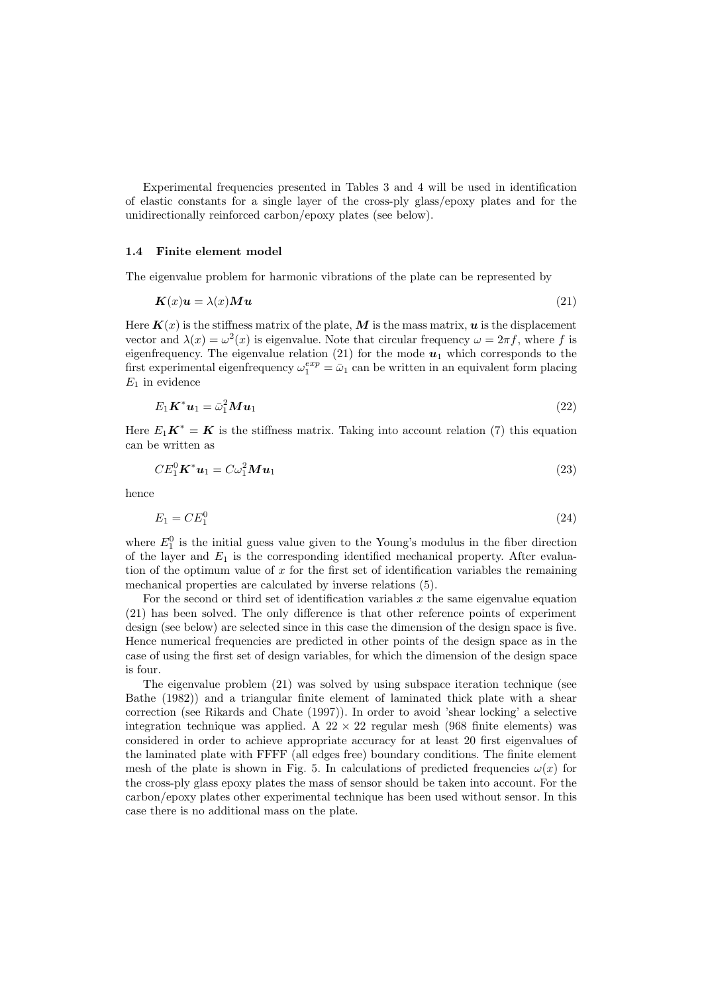Experimental frequencies presented in Tables 3 and 4 will be used in identification of elastic constants for a single layer of the cross-ply glass/epoxy plates and for the unidirectionally reinforced carbon/epoxy plates (see below).

#### **1.4 Finite element model**

The eigenvalue problem for harmonic vibrations of the plate can be represented by

$$
K(x)u = \lambda(x)Mu
$$
\n(21)

Here  $K(x)$  is the stiffness matrix of the plate, M is the mass matrix, u is the displacement vector and  $\lambda(x) = \omega^2(x)$  is eigenvalue. Note that circular frequency  $\omega = 2\pi f$ , where f is eigenfrequency. The eigenvalue relation  $(21)$  for the mode  $u_1$  which corresponds to the first experimental eigenfrequency  $\omega_1^{exp} = \bar{\omega}_1$  can be written in an equivalent form placing  $E_1$  in evidence

$$
E_1 \boldsymbol{K}^* \boldsymbol{u}_1 = \bar{\omega}_1^2 \boldsymbol{M} \boldsymbol{u}_1 \tag{22}
$$

Here  $E_1 \mathbf{K}^* = \mathbf{K}$  is the stiffness matrix. Taking into account relation (7) this equation can be written as

$$
CE_1^0 \mathbf{K}^* \mathbf{u}_1 = C \omega_1^2 \mathbf{M} \mathbf{u}_1 \tag{23}
$$

hence

$$
E_1 = CE_1^0 \tag{24}
$$

where  $E_1^0$  is the initial guess value given to the Young's modulus in the fiber direction of the layer and  $E_1$  is the corresponding identified mechanical property. After evaluation of the optimum value of x for the first set of identification variables the remaining mechanical properties are calculated by inverse relations (5).

For the second or third set of identification variables  $x$  the same eigenvalue equation (21) has been solved. The only difference is that other reference points of experiment design (see below) are selected since in this case the dimension of the design space is five. Hence numerical frequencies are predicted in other points of the design space as in the case of using the first set of design variables, for which the dimension of the design space is four.

The eigenvalue problem (21) was solved by using subspace iteration technique (see Bathe (1982)) and a triangular finite element of laminated thick plate with a shear correction (see Rikards and Chate (1997)). In order to avoid 'shear locking' a selective integration technique was applied. A  $22 \times 22$  regular mesh (968 finite elements) was considered in order to achieve appropriate accuracy for at least 20 first eigenvalues of the laminated plate with FFFF (all edges free) boundary conditions. The finite element mesh of the plate is shown in Fig. 5. In calculations of predicted frequencies  $\omega(x)$  for the cross-ply glass epoxy plates the mass of sensor should be taken into account. For the carbon/epoxy plates other experimental technique has been used without sensor. In this case there is no additional mass on the plate.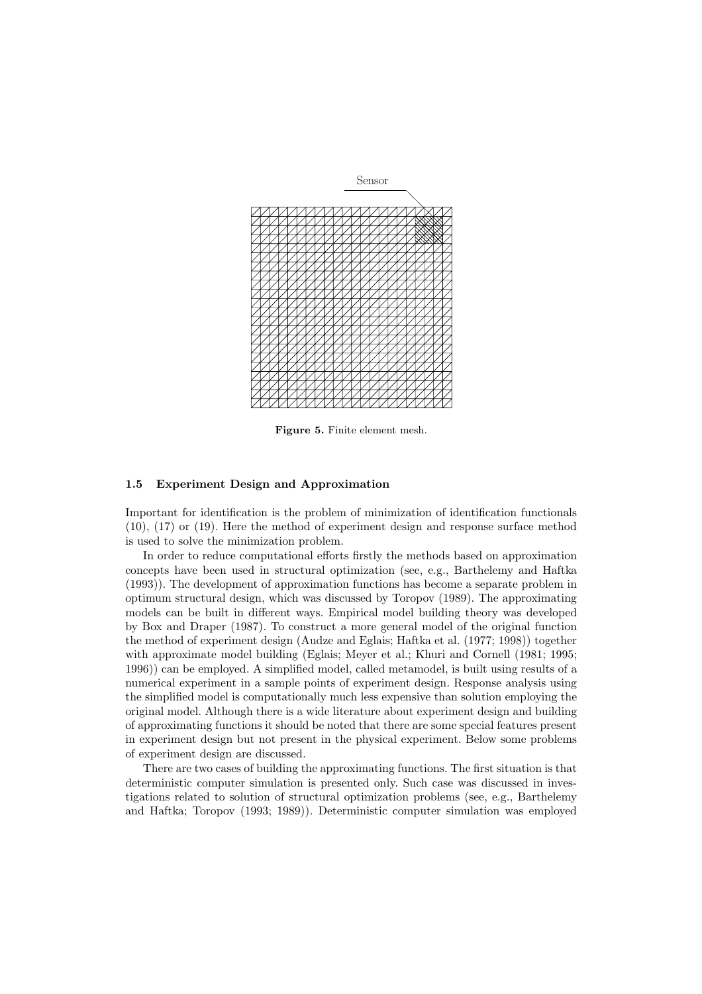

**Figure 5.** Finite element mesh.

## **1.5Experiment Design and Approximation**

Important for identification is the problem of minimization of identification functionals (10), (17) or (19). Here the method of experiment design and response surface method is used to solve the minimization problem.

In order to reduce computational efforts firstly the methods based on approximation concepts have been used in structural optimization (see, e.g., Barthelemy and Haftka (1993)). The development of approximation functions has become a separate problem in optimum structural design, which was discussed by Toropov(1989). The approximating models can be built in different ways. Empirical model building theory was developed by Box and Draper (1987). To construct a more general model of the original function the method of experiment design (Audze and Eglais; Haftka et al. (1977; 1998)) together with approximate model building (Eglais; Meyer et al.; Khuri and Cornell (1981; 1995; 1996)) can be employed. A simplified model, called metamodel, is built using results of a numerical experiment in a sample points of experiment design. Response analysis using the simplified model is computationally much less expensive than solution employing the original model. Although there is a wide literature about experiment design and building of approximating functions it should be noted that there are some special features present in experiment design but not present in the physical experiment. Below some problems of experiment design are discussed.

There are two cases of building the approximating functions. The first situation is that deterministic computer simulation is presented only. Such case was discussed in investigations related to solution of structural optimization problems (see, e.g., Barthelemy and Haftka; Toropov(1993; 1989)). Deterministic computer simulation was employed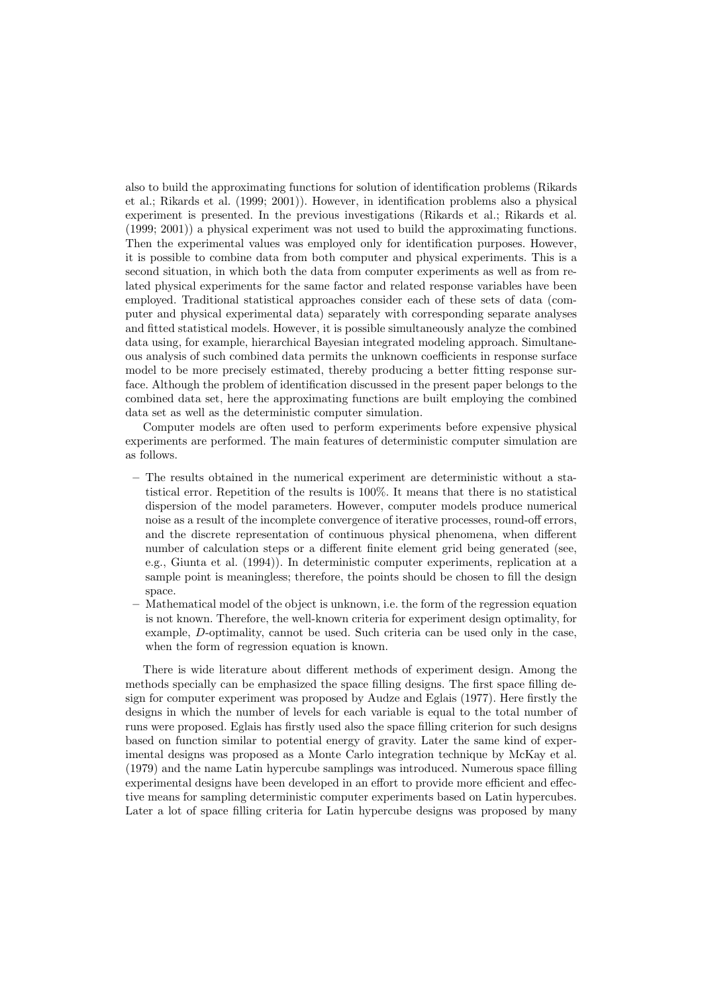also to build the approximating functions for solution of identification problems (Rikards et al.; Rikards et al. (1999; 2001)). However, in identification problems also a physical experiment is presented. In the previous investigations (Rikards et al.; Rikards et al. (1999; 2001)) a physical experiment was not used to build the approximating functions. Then the experimental values was employed only for identification purposes. However, it is possible to combine data from both computer and physical experiments. This is a second situation, in which both the data from computer experiments as well as from related physical experiments for the same factor and related response variables have been employed. Traditional statistical approaches consider each of these sets of data (computer and physical experimental data) separately with corresponding separate analyses and fitted statistical models. However, it is possible simultaneously analyze the combined data using, for example, hierarchical Bayesian integrated modeling approach. Simultaneous analysis of such combined data permits the unknown coefficients in response surface model to be more precisely estimated, thereby producing a better fitting response surface. Although the problem of identification discussed in the present paper belongs to the combined data set, here the approximating functions are built employing the combined data set as well as the deterministic computer simulation.

Computer models are often used to perform experiments before expensive physical experiments are performed. The main features of deterministic computer simulation are as follows.

- **–** The results obtained in the numerical experiment are deterministic without a statistical error. Repetition of the results is 100%. It means that there is no statistical dispersion of the model parameters. However, computer models produce numerical noise as a result of the incomplete convergence of iterative processes, round-off errors, and the discrete representation of continuous physical phenomena, when different number of calculation steps or a different finite element grid being generated (see, e.g., Giunta et al. (1994)). In deterministic computer experiments, replication at a sample point is meaningless; therefore, the points should be chosen to fill the design space.
- **–** Mathematical model of the object is unknown, i.e. the form of the regression equation is not known. Therefore, the well-known criteria for experiment design optimality, for example, D-optimality, cannot be used. Such criteria can be used only in the case, when the form of regression equation is known.

There is wide literature about different methods of experiment design. Among the methods specially can be emphasized the space filling designs. The first space filling design for computer experiment was proposed by Audze and Eglais (1977). Here firstly the designs in which the number of levels for each variable is equal to the total number of runs were proposed. Eglais has firstly used also the space filling criterion for such designs based on function similar to potential energy of gravity. Later the same kind of experimental designs was proposed as a Monte Carlo integration technique by McKay et al. (1979) and the name Latin hypercube samplings was introduced. Numerous space filling experimental designs have been developed in an effort to provide more efficient and effective means for sampling deterministic computer experiments based on Latin hypercubes. Later a lot of space filling criteria for Latin hypercube designs was proposed by many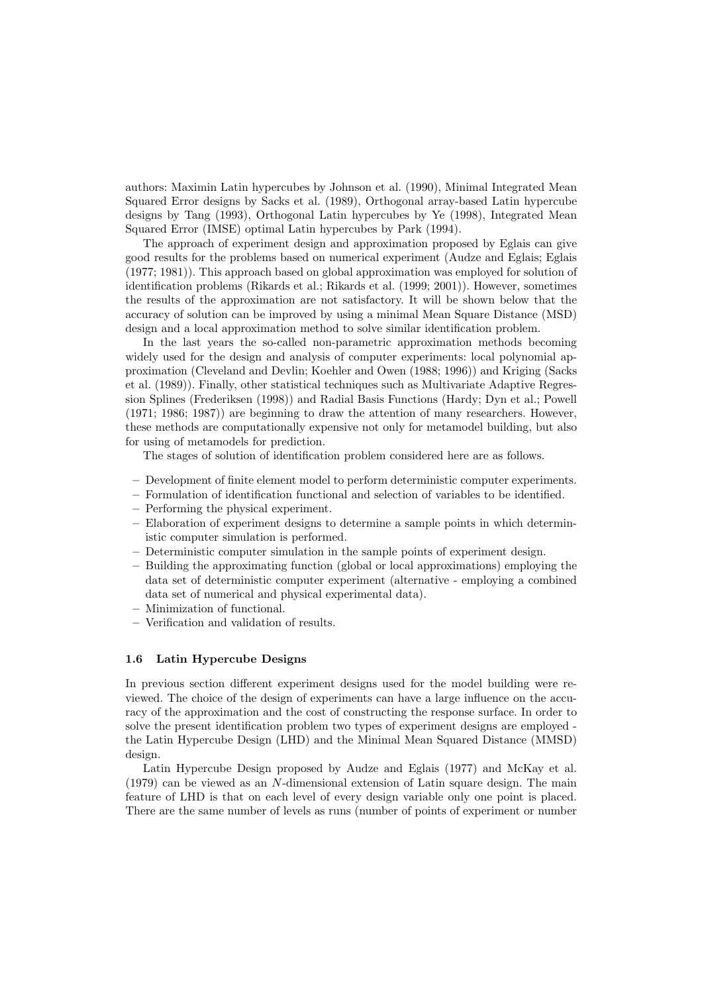authors: Maximin Latin hypercubes by Johnson et al. (1990), Minimal Integrated Mean Squared Error designs by Sacks et al. (1989), Orthogonal array-based Latin hypercube designs by Tang (1993), Orthogonal Latin hypercubes by Ye (1998), Integrated Mean Squared Error (IMSE) optimal Latin hypercubes by Park (1994).

The approach of experiment design and approximation proposed by Eglais can give good results for the problems based on numerical experiment (Audze and Eglais; Eglais (1977; 1981)). This approach based on global approximation was employed for solution of identification problems (Rikards et al.; Rikards et al. (1999; 2001)). However, sometimes the results of the approximation are not satisfactory. It will be shown below that the accuracy of solution can be improved by using a minimal Mean Square Distance (MSD) design and a local approximation method to solve similar identification problem.

In the last years the so-called non-parametric approximation methods becoming widely used for the design and analysis of computer experiments: local polynomial approximation (Cleveland and Devlin; Koehler and Owen (1988; 1996)) and Kriging (Sacks et al. (1989)). Finally, other statistical techniques such as Multivariate Adaptive Regression Splines (Frederiksen (1998)) and Radial Basis Functions (Hardy; Dyn et al.; Powell (1971; 1986; 1987)) are beginning to draw the attention of many researchers. However, these methods are computationally expensive not only for metamodel building, but also for using of metamodels for prediction.

The stages of solution of identification problem considered here are as follows.

- **–** Development of finite element model to perform deterministic computer experiments.
- **–** Formulation of identification functional and selection of variables to be identified.
- **–** Performing the physical experiment.
- **–** Elaboration of experiment designs to determine a sample points in which deterministic computer simulation is performed.
- **–** Deterministic computer simulation in the sample points of experiment design.
- **–** Building the approximating function (global or local approximations) employing the data set of deterministic computer experiment (alternative - employing a combined data set of numerical and physical experimental data).
- **–** Minimization of functional.
- **–** Verification and validation of results.

#### **1.6 Latin Hypercube Designs**

In previous section different experiment designs used for the model building were reviewed. The choice of the design of experiments can have a large influence on the accuracy of the approximation and the cost of constructing the response surface. In order to solve the present identification problem two types of experiment designs are employed the Latin Hypercube Design (LHD) and the Minimal Mean Squared Distance (MMSD) design.

Latin Hypercube Design proposed by Audze and Eglais (1977) and McKay et al. (1979) can be viewed as an N-dimensional extension of Latin square design. The main feature of LHD is that on each level of every design variable only one point is placed. There are the same number of levels as runs (number of points of experiment or number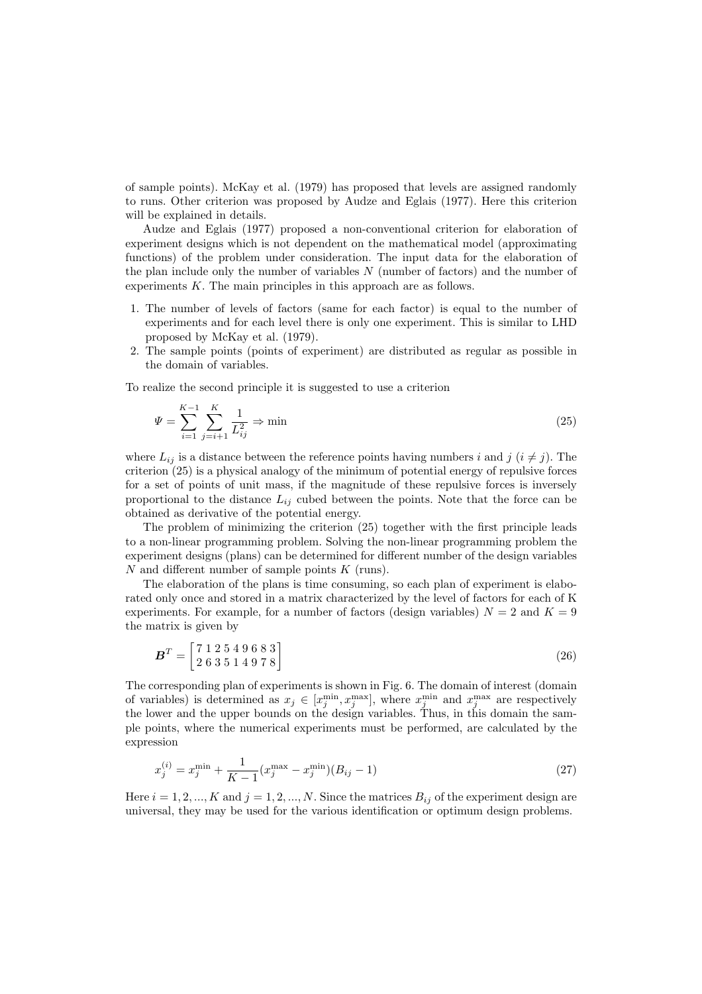of sample points). McKay et al. (1979) has proposed that levels are assigned randomly to runs. Other criterion was proposed by Audze and Eglais (1977). Here this criterion will be explained in details.

Audze and Eglais (1977) proposed a non-conventional criterion for elaboration of experiment designs which is not dependent on the mathematical model (approximating functions) of the problem under consideration. The input data for the elaboration of the plan include only the number of variables N (number of factors) and the number of experiments K. The main principles in this approach are as follows.

- 1. The number of levels of factors (same for each factor) is equal to the number of experiments and for each level there is only one experiment. This is similar to LHD proposed by McKay et al. (1979).
- 2. The sample points (points of experiment) are distributed as regular as possible in the domain of variables.

To realize the second principle it is suggested to use a criterion

$$
\Psi = \sum_{i=1}^{K-1} \sum_{j=i+1}^{K} \frac{1}{L_{ij}^2} \Rightarrow \min
$$
\n(25)

where  $L_{ij}$  is a distance between the reference points having numbers i and j  $(i \neq j)$ . The criterion (25) is a physical analogy of the minimum of potential energy of repulsive forces for a set of points of unit mass, if the magnitude of these repulsive forces is inversely proportional to the distance  $L_{ij}$  cubed between the points. Note that the force can be obtained as derivative of the potential energy.

The problem of minimizing the criterion (25) together with the first principle leads to a non-linear programming problem. Solving the non-linear programming problem the experiment designs (plans) can be determined for different number of the design variables  $N$  and different number of sample points  $K$  (runs).

The elaboration of the plans is time consuming, so each plan of experiment is elaborated only once and stored in a matrix characterized by the level of factors for each of K experiments. For example, for a number of factors (design variables)  $N = 2$  and  $K = 9$ the matrix is given by

$$
\boldsymbol{B}^T = \begin{bmatrix} 7 & 1 & 2 & 5 & 4 & 9 & 6 & 8 & 3 \\ 2 & 6 & 3 & 5 & 1 & 4 & 9 & 7 & 8 \end{bmatrix} \tag{26}
$$

The corresponding plan of experiments is shown in Fig. 6. The domain of interest (domain of variables) is determined as  $x_j \in [x_j^{\min}, x_j^{\max}]$ , where  $x_j^{\min}$  and  $x_j^{\max}$  are respectively the lower and the upper bounds on the design variables. Thus, in this domain the sample points, where the numerical experiments must be performed, are calculated by the expression

$$
x_j^{(i)} = x_j^{\min} + \frac{1}{K-1} (x_j^{\max} - x_j^{\min}) (B_{ij} - 1)
$$
 (27)

Here  $i = 1, 2, ..., K$  and  $j = 1, 2, ..., N$ . Since the matrices  $B_{ij}$  of the experiment design are universal, they may be used for the various identification or optimum design problems.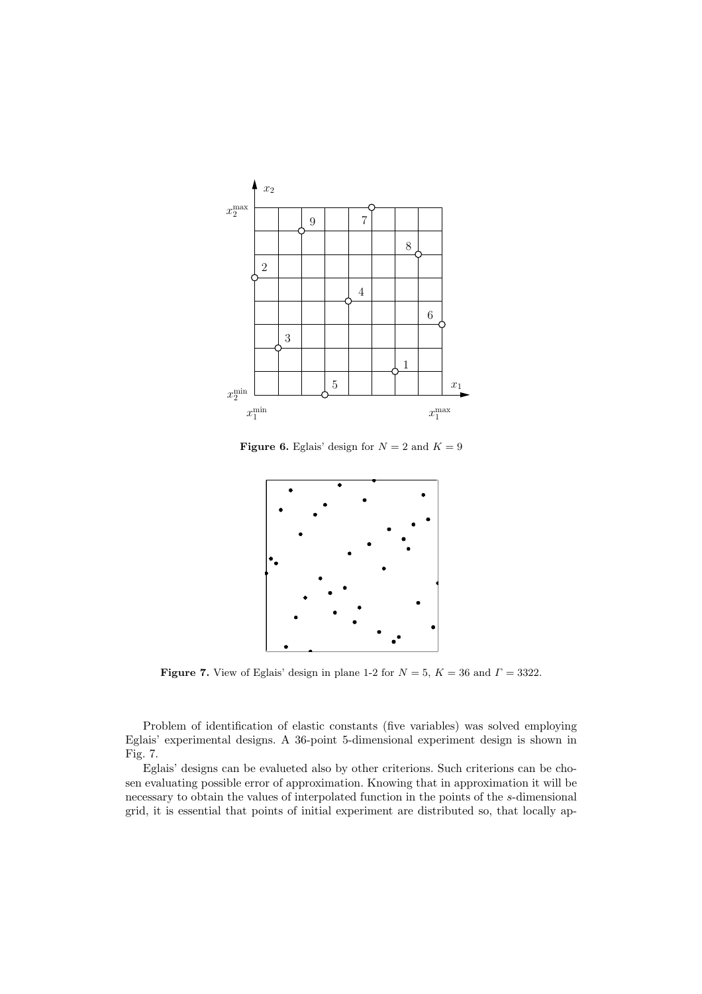

**Figure 6.** Eglais' design for  $N = 2$  and  $K = 9$ 



**Figure 7.** View of Eglais' design in plane 1-2 for  $N = 5$ ,  $K = 36$  and  $\Gamma = 3322$ .

Problem of identification of elastic constants (five variables) was solved employing Eglais' experimental designs. A 36-point 5-dimensional experiment design is shown in Fig. 7.

Eglais' designs can be evalueted also by other criterions. Such criterions can be chosen evaluating possible error of approximation. Knowing that in approximation it will be necessary to obtain the values of interpolated function in the points of the s-dimensional grid, it is essential that points of initial experiment are distributed so, that locally ap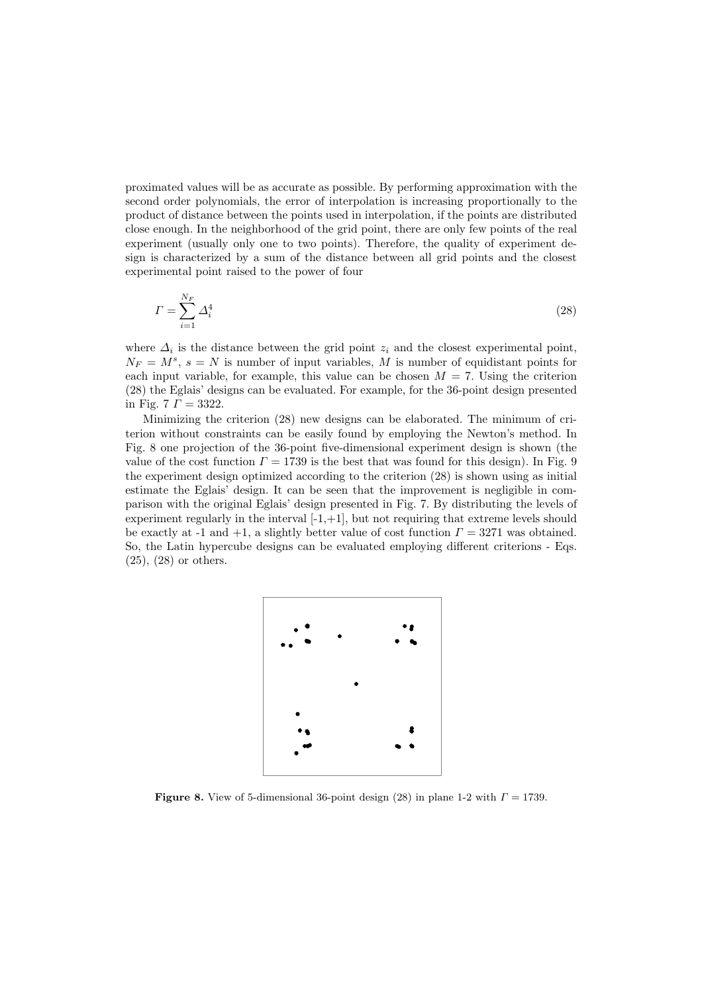proximated values will be as accurate as possible. By performing approximation with the second order polynomials, the error of interpolation is increasing proportionally to the product of distance between the points used in interpolation, if the points are distributed close enough. In the neighborhood of the grid point, there are only few points of the real experiment (usually only one to two points). Therefore, the quality of experiment design is characterized by a sum of the distance between all grid points and the closest experimental point raised to the power of four

$$
\Gamma = \sum_{i=1}^{N_F} \Delta_i^4 \tag{28}
$$

where  $\Delta_i$  is the distance between the grid point  $z_i$  and the closest experimental point,  $N_F = M^s$ ,  $s = N$  is number of input variables, M is number of equidistant points for each input variable, for example, this value can be chosen  $M = 7$ . Using the criterion (28) the Eglais' designs can be evaluated. For example, for the 36-point design presented in Fig. 7  $\Gamma = 3322$ .

Minimizing the criterion (28) new designs can be elaborated. The minimum of criterion without constraints can be easily found by employing the Newton's method. In Fig. 8 one projection of the 36-point five-dimensional experiment design is shown (the value of the cost function  $\Gamma = 1739$  is the best that was found for this design). In Fig. 9 the experiment design optimized according to the criterion (28) is shown using as initial estimate the Eglais' design. It can be seen that the improvement is negligible in comparison with the original Eglais' design presented in Fig. 7. By distributing the levels of experiment regularly in the interval  $[-1, +1]$ , but not requiring that extreme levels should be exactly at -1 and +1, a slightly better value of cost function  $\Gamma = 3271$  was obtained. So, the Latin hypercube designs can be evaluated employing different criterions - Eqs. (25), (28) or others.



**Figure 8.** View of 5-dimensional 36-point design (28) in plane 1-2 with  $\Gamma = 1739$ .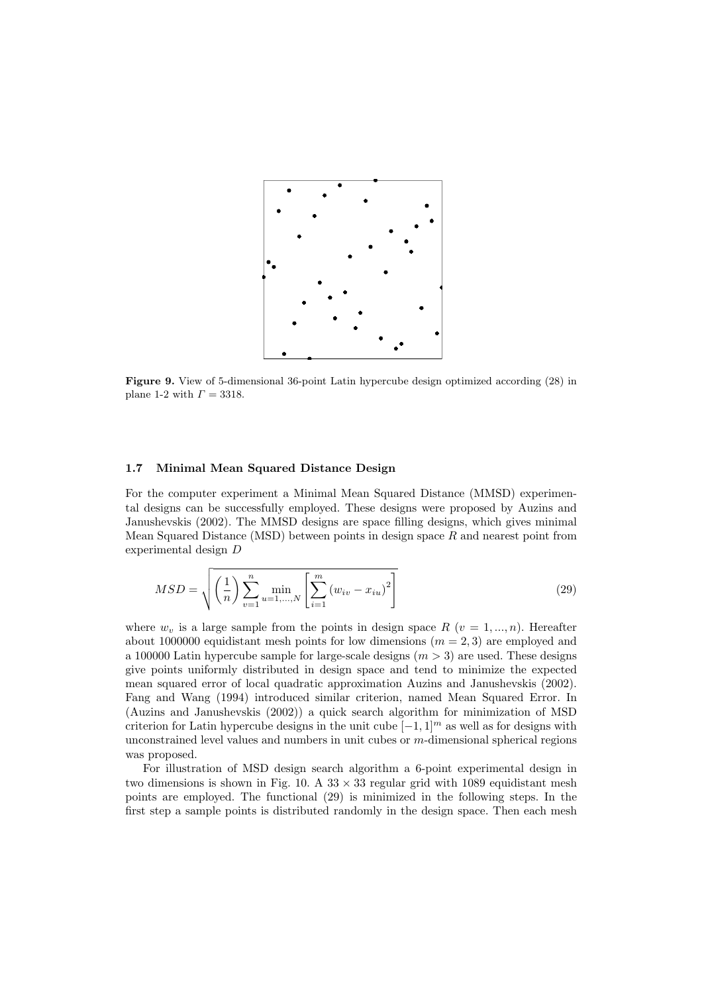

**Figure 9.** View of 5-dimensional 36-point Latin hypercube design optimized according  $(28)$  in plane 1-2 with  $\Gamma = 3318$ .

#### **1.7 Minimal Mean Squared Distance Design**

For the computer experiment a Minimal Mean Squared Distance (MMSD) experimental designs can be successfully employed. These designs were proposed by Auzins and Janushevskis (2002). The MMSD designs are space filling designs, which gives minimal Mean Squared Distance (MSD) between points in design space  $R$  and nearest point from experimental design D

$$
MSD = \sqrt{\left(\frac{1}{n}\right)\sum_{v=1}^{n}\min_{u=1,...,N}\left[\sum_{i=1}^{m}\left(w_{iv}-x_{iu}\right)^{2}\right]}
$$
(29)

where  $w<sub>v</sub>$  is a large sample from the points in design space  $R$  ( $v = 1, ..., n$ ). Hereafter about 1000000 equidistant mesh points for low dimensions  $(m = 2, 3)$  are employed and a 100000 Latin hypercube sample for large-scale designs  $(m > 3)$  are used. These designs give points uniformly distributed in design space and tend to minimize the expected mean squared error of local quadratic approximation Auzins and Janushevskis (2002). Fang and Wang (1994) introduced similar criterion, named Mean Squared Error. In (Auzins and Janushevskis (2002)) a quick search algorithm for minimization of MSD criterion for Latin hypercube designs in the unit cube  $[-1, 1]^m$  as well as for designs with unconstrained level values and numbers in unit cubes or  $m$ -dimensional spherical regions was proposed.

For illustration of MSD design search algorithm a 6-point experimental design in two dimensions is shown in Fig. 10. A  $33 \times 33$  regular grid with 1089 equidistant mesh points are employed. The functional (29) is minimized in the following steps. In the first step a sample points is distributed randomly in the design space. Then each mesh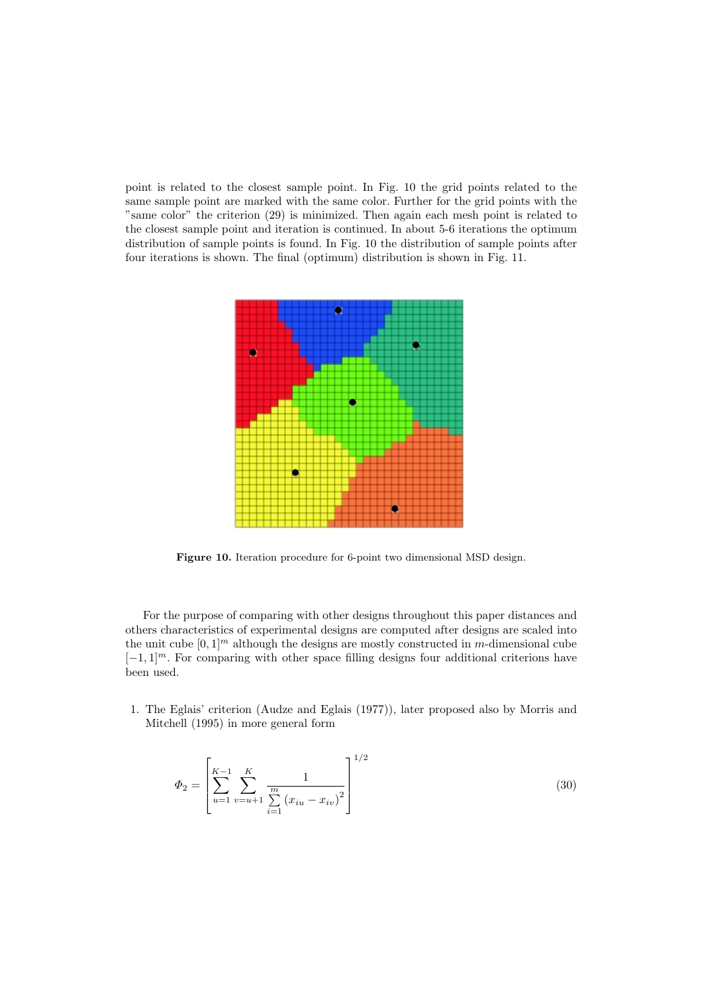point is related to the closest sample point. In Fig. 10 the grid points related to the same sample point are marked with the same color. Further for the grid points with the "same color" the criterion (29) is minimized. Then again each mesh point is related to the closest sample point and iteration is continued. In about 5-6 iterations the optimum distribution of sample points is found. In Fig. 10 the distribution of sample points after four iterations is shown. The final (optimum) distribution is shown in Fig. 11.



**Figure 10.** Iteration procedure for 6-point two dimensional MSD design.

For the purpose of comparing with other designs throughout this paper distances and others characteristics of experimental designs are computed after designs are scaled into the unit cube  $[0, 1]^m$  although the designs are mostly constructed in m-dimensional cube  $[-1, 1]^m$ . For comparing with other space filling designs four additional criterions have been used.

1. The Eglais' criterion (Audze and Eglais (1977)), later proposed also by Morris and Mitchell (1995) in more general form

$$
\Phi_2 = \left[ \sum_{u=1}^{K-1} \sum_{v=u+1}^{K} \frac{1}{\sum_{i=1}^{m} (x_{iu} - x_{iv})^2} \right]^{1/2}
$$
\n(30)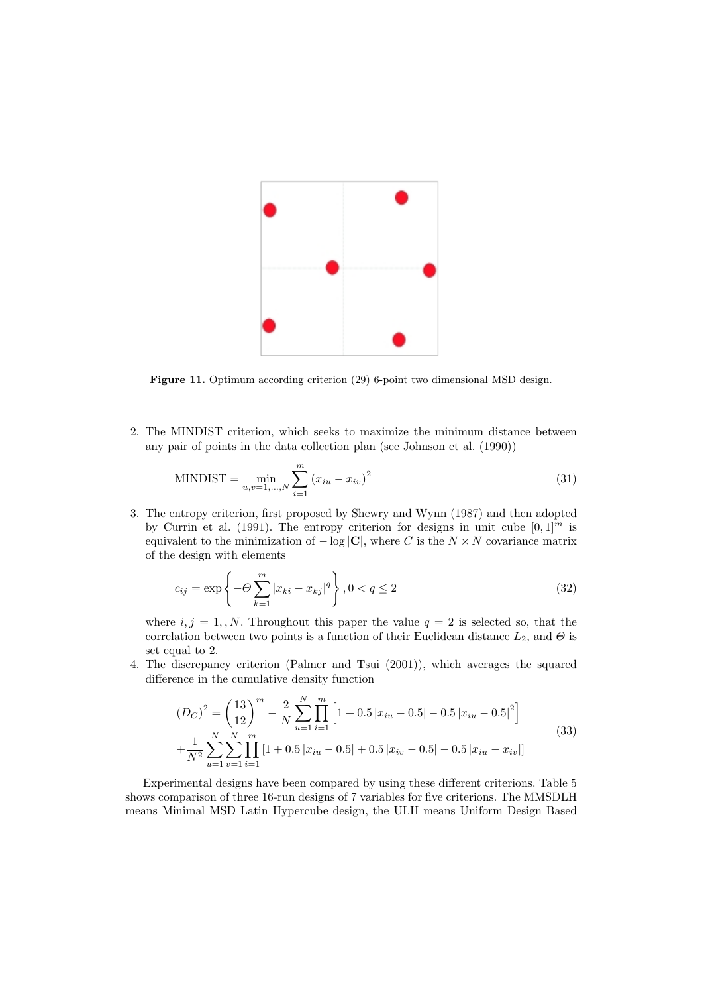

Figure 11. Optimum according criterion (29) 6-point two dimensional MSD design.

2. The MINDIST criterion, which seeks to maximize the minimum distance between any pair of points in the data collection plan (see Johnson et al. (1990))

MINDIST = 
$$
\min_{u,v=1,...,N} \sum_{i=1}^{m} (x_{iu} - x_{iv})^2
$$
 (31)

3. The entropy criterion, first proposed by Shewry and Wynn (1987) and then adopted by Currin et al. (1991). The entropy criterion for designs in unit cube  $[0,1]^m$  is equivalent to the minimization of  $-\log |\mathbf{C}|$ , where C is the  $N \times N$  covariance matrix of the design with elements

$$
c_{ij} = \exp\left\{-\Theta \sum_{k=1}^{m} |x_{ki} - x_{kj}|^{q} \right\}, 0 < q \le 2
$$
\n(32)

where  $i, j = 1, N$ . Throughout this paper the value  $q = 2$  is selected so, that the correlation between two points is a function of their Euclidean distance  $L_2$ , and  $\Theta$  is set equal to 2.

4. The discrepancy criterion (Palmer and Tsui (2001)), which averages the squared difference in the cumulative density function

$$
(D_C)^2 = \left(\frac{13}{12}\right)^m - \frac{2}{N} \sum_{u=1}^N \prod_{i=1}^m \left[1 + 0.5|x_{iu} - 0.5| - 0.5|x_{iu} - 0.5|^2\right] + \frac{1}{N^2} \sum_{u=1}^N \sum_{v=1}^N \prod_{i=1}^m \left[1 + 0.5|x_{iu} - 0.5| + 0.5|x_{iv} - 0.5| - 0.5|x_{iu} - x_{iv}|\right]
$$
\n(33)

Experimental designs have been compared by using these different criterions. Table 5 shows comparison of three 16-run designs of 7 variables for five criterions. The MMSDLH means Minimal MSD Latin Hypercube design, the ULH means Uniform Design Based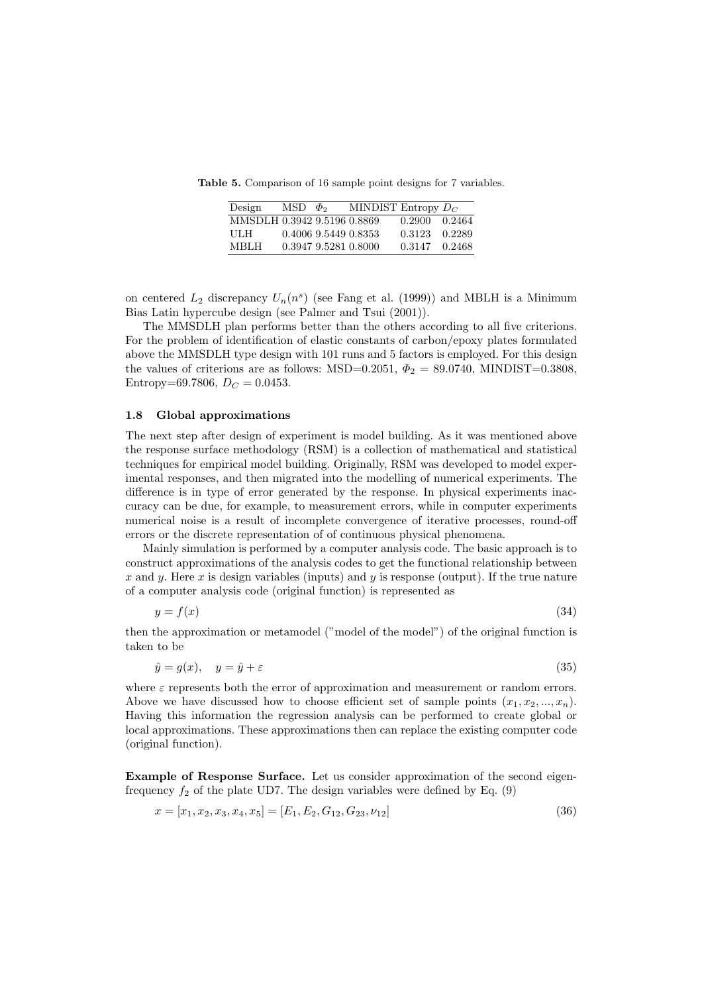**Table 5.** Comparison of 16 sample point designs for 7 variables.

| Design                      | MSD | $-\phi_2$            | MINDIST Entropy $D_C$ |        |        |
|-----------------------------|-----|----------------------|-----------------------|--------|--------|
| MMSDLH 0.3942 9.5196 0.8869 |     |                      |                       | 0.2900 | 0.2464 |
| ULH                         |     | 0.4006 9.5449 0.8353 |                       | 0.3123 | 0.2289 |
| MBLH                        |     | 0.3947 9.5281 0.8000 |                       | 0.3147 | 0.2468 |

on centered  $L_2$  discrepancy  $U_n(n^s)$  (see Fang et al. (1999)) and MBLH is a Minimum Bias Latin hypercube design (see Palmer and Tsui (2001)).

The MMSDLH plan performs better than the others according to all five criterions. For the problem of identification of elastic constants of carbon/epoxy plates formulated above the MMSDLH type design with 101 runs and 5 factors is employed. For this design the values of criterions are as follows: MSD=0.2051,  $\Phi_2 = 89.0740$ , MINDIST=0.3808, Entropy=69.7806,  $D_C = 0.0453$ .

## **1.8 Global approximations**

The next step after design of experiment is model building. As it was mentioned above the response surface methodology (RSM) is a collection of mathematical and statistical techniques for empirical model building. Originally, RSM was developed to model experimental responses, and then migrated into the modelling of numerical experiments. The difference is in type of error generated by the response. In physical experiments inaccuracy can be due, for example, to measurement errors, while in computer experiments numerical noise is a result of incomplete convergence of iterative processes, round-off errors or the discrete representation of of continuous physical phenomena.

Mainly simulation is performed by a computer analysis code. The basic approach is to construct approximations of the analysis codes to get the functional relationship between x and y. Here x is design variables (inputs) and y is response (output). If the true nature of a computer analysis code (original function) is represented as

$$
y = f(x) \tag{34}
$$

then the approximation or metamodel ("model of the model") of the original function is taken to be

$$
\hat{y} = g(x), \quad y = \hat{y} + \varepsilon \tag{35}
$$

where  $\varepsilon$  represents both the error of approximation and measurement or random errors. Above we have discussed how to choose efficient set of sample points  $(x_1, x_2, ..., x_n)$ . Having this information the regression analysis can be performed to create global or local approximations. These approximations then can replace the existing computer code (original function).

**Example of Response Surface.** Let us consider approximation of the second eigenfrequency  $f_2$  of the plate UD7. The design variables were defined by Eq. (9)

$$
x = [x_1, x_2, x_3, x_4, x_5] = [E_1, E_2, G_{12}, G_{23}, \nu_{12}] \tag{36}
$$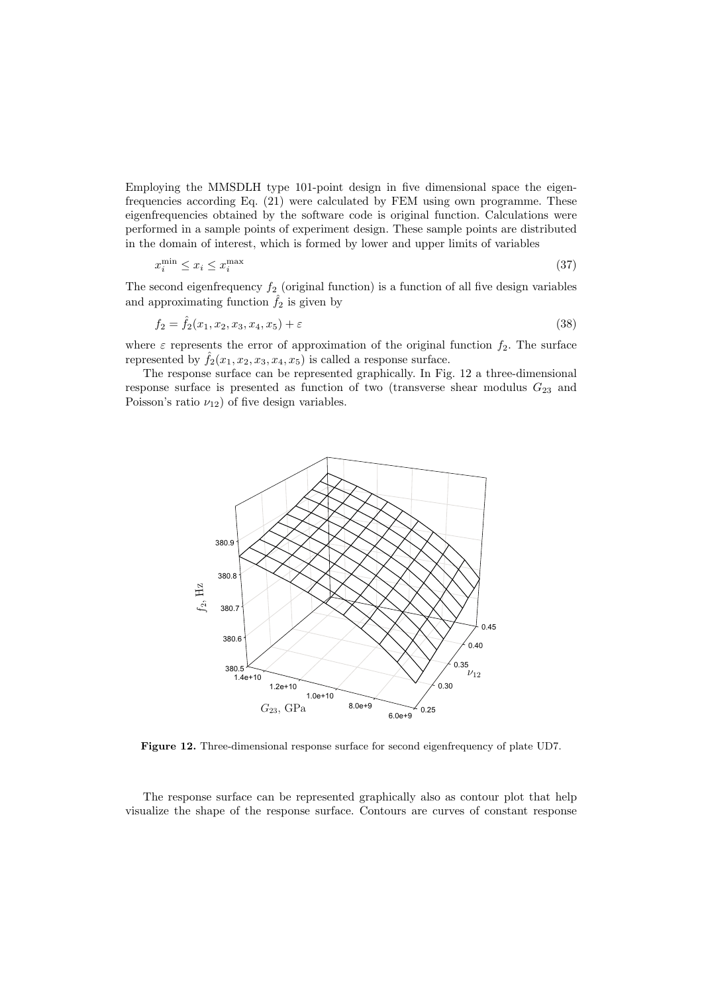Employing the MMSDLH type 101-point design in five dimensional space the eigenfrequencies according Eq. (21) were calculated by FEM using own programme. These eigenfrequencies obtained by the software code is original function. Calculations were performed in a sample points of experiment design. These sample points are distributed in the domain of interest, which is formed by lower and upper limits of variables

$$
x_i^{\min} \le x_i \le x_i^{\max} \tag{37}
$$

The second eigenfrequency  $f_2$  (original function) is a function of all five design variables and approximating function  $\hat{f}_2$  is given by

$$
f_2 = \hat{f}_2(x_1, x_2, x_3, x_4, x_5) + \varepsilon \tag{38}
$$

where  $\varepsilon$  represents the error of approximation of the original function  $f_2$ . The surface represented by  $\hat{f}_2(x_1, x_2, x_3, x_4, x_5)$  is called a response surface.

The response surface can be represented graphically. In Fig. 12 a three-dimensional response surface is presented as function of two (transverse shear modulus  $G_{23}$  and Poisson's ratio  $\nu_{12}$ ) of five design variables.



**Figure 12.** Three-dimensional response surface for second eigenfrequency of plate UD7.

The response surface can be represented graphically also as contour plot that help visualize the shape of the response surface. Contours are curves of constant response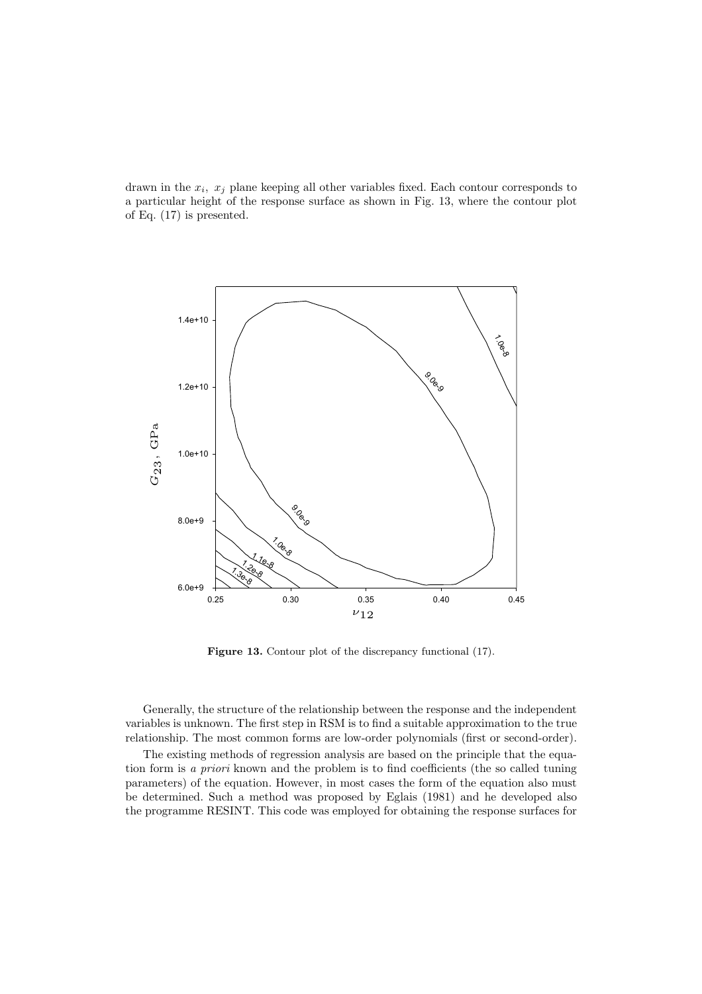drawn in the  $x_i$ ,  $x_j$  plane keeping all other variables fixed. Each contour corresponds to a particular height of the response surface as shown in Fig. 13, where the contour plot of Eq. (17) is presented.



Figure 13. Contour plot of the discrepancy functional  $(17)$ .

Generally, the structure of the relationship between the response and the independent variables is unknown. The first step in RSM is to find a suitable approximation to the true relationship. The most common forms are low-order polynomials (first or second-order).

The existing methods of regression analysis are based on the principle that the equation form is a priori known and the problem is to find coefficients (the so called tuning parameters) of the equation. However, in most cases the form of the equation also must be determined. Such a method was proposed by Eglais (1981) and he developed also the programme RESINT. This code was employed for obtaining the response surfaces for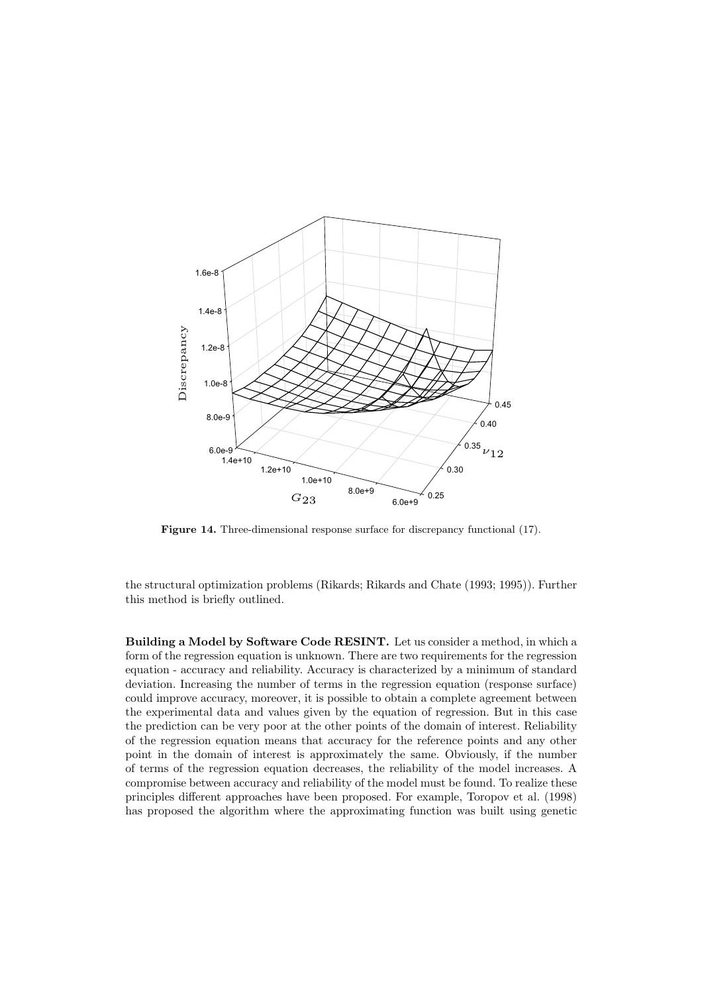

**Figure 14.** Three-dimensional response surface for discrepancy functional (17).

the structural optimization problems (Rikards; Rikards and Chate (1993; 1995)). Further this method is briefly outlined.

**Building a Model by Software Code RESINT.** Let us consider a method, in which a form of the regression equation is unknown. There are two requirements for the regression equation - accuracy and reliability. Accuracy is characterized by a minimum of standard deviation. Increasing the number of terms in the regression equation (response surface) could improve accuracy, moreover, it is possible to obtain a complete agreement between the experimental data and values given by the equation of regression. But in this case the prediction can be very poor at the other points of the domain of interest. Reliability of the regression equation means that accuracy for the reference points and any other point in the domain of interest is approximately the same. Obviously, if the number of terms of the regression equation decreases, the reliability of the model increases. A compromise between accuracy and reliability of the model must be found. To realize these principles different approaches have been proposed. For example, Toropov et al. (1998) has proposed the algorithm where the approximating function was built using genetic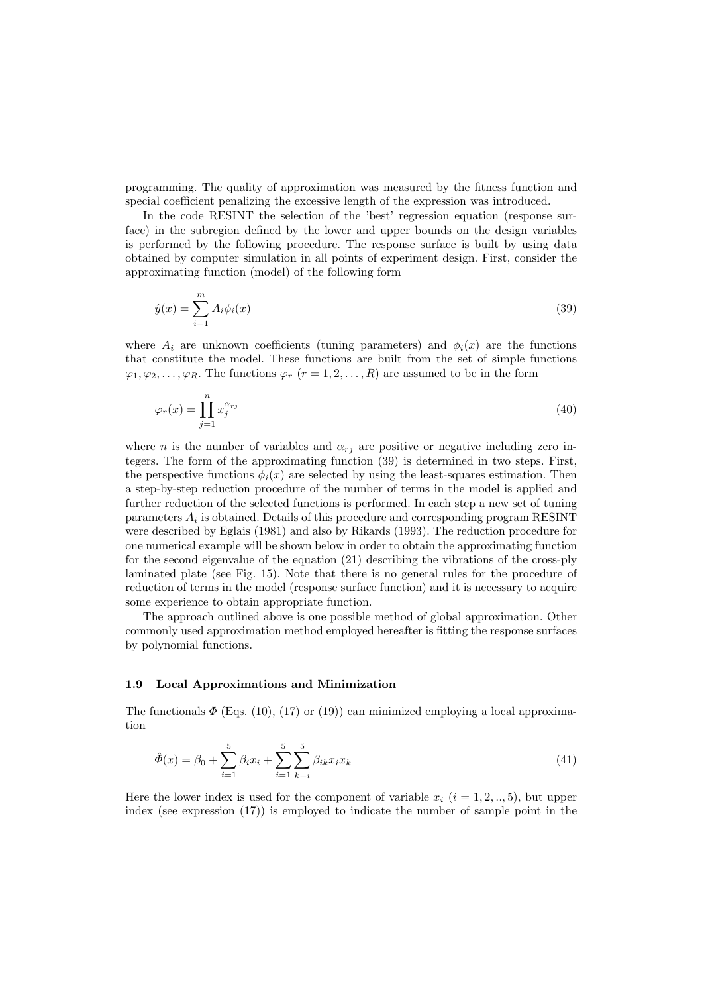programming. The quality of approximation was measured by the fitness function and special coefficient penalizing the excessive length of the expression was introduced.

In the code RESINT the selection of the 'best' regression equation (response surface) in the subregion defined by the lower and upper bounds on the design variables is performed by the following procedure. The response surface is built by using data obtained by computer simulation in all points of experiment design. First, consider the approximating function (model) of the following form

$$
\hat{y}(x) = \sum_{i=1}^{m} A_i \phi_i(x) \tag{39}
$$

where  $A_i$  are unknown coefficients (tuning parameters) and  $\phi_i(x)$  are the functions that constitute the model. These functions are built from the set of simple functions  $\varphi_1, \varphi_2, \ldots, \varphi_R$ . The functions  $\varphi_r$   $(r = 1, 2, \ldots, R)$  are assumed to be in the form

$$
\varphi_r(x) = \prod_{j=1}^n x_j^{\alpha_{rj}} \tag{40}
$$

where n is the number of variables and  $\alpha_{ri}$  are positive or negative including zero integers. The form of the approximating function (39) is determined in two steps. First, the perspective functions  $\phi_i(x)$  are selected by using the least-squares estimation. Then a step-by-step reduction procedure of the number of terms in the model is applied and further reduction of the selected functions is performed. In each step a new set of tuning parameters  $A_i$  is obtained. Details of this procedure and corresponding program RESINT were described by Eglais (1981) and also by Rikards (1993). The reduction procedure for one numerical example will be shown below in order to obtain the approximating function for the second eigenvalue of the equation (21) describing the vibrations of the cross-ply laminated plate (see Fig. 15). Note that there is no general rules for the procedure of reduction of terms in the model (response surface function) and it is necessary to acquire some experience to obtain appropriate function.

The approach outlined above is one possible method of global approximation. Other commonly used approximation method employed hereafter is fitting the response surfaces by polynomial functions.

#### **1.9 Local Approximations and Minimization**

The functionals  $\Phi$  (Eqs. (10), (17) or (19)) can minimized employing a local approximation

$$
\hat{\Phi}(x) = \beta_0 + \sum_{i=1}^{5} \beta_i x_i + \sum_{i=1}^{5} \sum_{k=i}^{5} \beta_{ik} x_i x_k
$$
\n(41)

Here the lower index is used for the component of variable  $x_i$   $(i = 1, 2, ..., 5)$ , but upper index (see expression (17)) is employed to indicate the number of sample point in the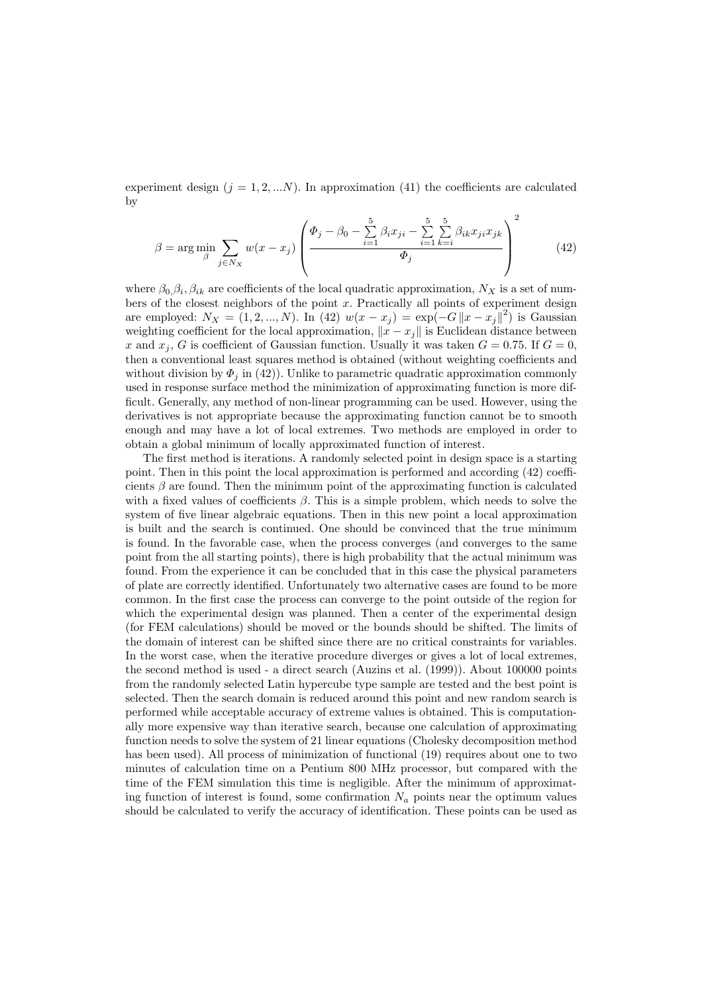experiment design  $(j = 1, 2, ...N)$ . In approximation (41) the coefficients are calculated by

$$
\beta = \arg \min_{\beta} \sum_{j \in N_X} w(x - x_j) \left( \frac{\Phi_j - \beta_0 - \sum_{i=1}^5 \beta_i x_{ji} - \sum_{i=1}^5 \sum_{k=i}^5 \beta_{ik} x_{ji} x_{jk}}{\Phi_j} \right)^2 \tag{42}
$$

where  $\beta_0, \beta_i, \beta_{ik}$  are coefficients of the local quadratic approximation,  $N_X$  is a set of numbers of the closest neighbors of the point x. Practically all points of experiment design are employed:  $N_X = (1, 2, ..., N)$ . In (42)  $w(x - x_j) = \exp(-G ||x - x_j||^2)$  is Gaussian weighting coefficient for the local approximation,  $\|x - x_j\|$  is Euclidean distance between x and  $x_j$ , G is coefficient of Gaussian function. Usually it was taken  $G = 0.75$ . If  $G = 0$ , then a conventional least squares method is obtained (without weighting coefficients and without division by  $\Phi_j$  in (42)). Unlike to parametric quadratic approximation commonly used in response surface method the minimization of approximating function is more difficult. Generally, any method of non-linear programming can be used. However, using the derivatives is not appropriate because the approximating function cannot be to smooth enough and may have a lot of local extremes. Two methods are employed in order to obtain a global minimum of locally approximated function of interest.

The first method is iterations. A randomly selected point in design space is a starting point. Then in this point the local approximation is performed and according (42) coefficients  $\beta$  are found. Then the minimum point of the approximating function is calculated with a fixed values of coefficients  $\beta$ . This is a simple problem, which needs to solve the system of five linear algebraic equations. Then in this new point a local approximation is built and the search is continued. One should be convinced that the true minimum is found. In the favorable case, when the process converges (and converges to the same point from the all starting points), there is high probability that the actual minimum was found. From the experience it can be concluded that in this case the physical parameters of plate are correctly identified. Unfortunately two alternative cases are found to be more common. In the first case the process can converge to the point outside of the region for which the experimental design was planned. Then a center of the experimental design (for FEM calculations) should be moved or the bounds should be shifted. The limits of the domain of interest can be shifted since there are no critical constraints for variables. In the worst case, when the iterative procedure diverges or gives a lot of local extremes, the second method is used - a direct search (Auzins et al. (1999)). About 100000 points from the randomly selected Latin hypercube type sample are tested and the best point is selected. Then the search domain is reduced around this point and new random search is performed while acceptable accuracy of extreme values is obtained. This is computationally more expensive way than iterative search, because one calculation of approximating function needs to solve the system of 21 linear equations (Cholesky decomposition method has been used). All process of minimization of functional (19) requires about one to two minutes of calculation time on a Pentium 800 MHz processor, but compared with the time of the FEM simulation this time is negligible. After the minimum of approximating function of interest is found, some confirmation  $N_a$  points near the optimum values should be calculated to verify the accuracy of identification. These points can be used as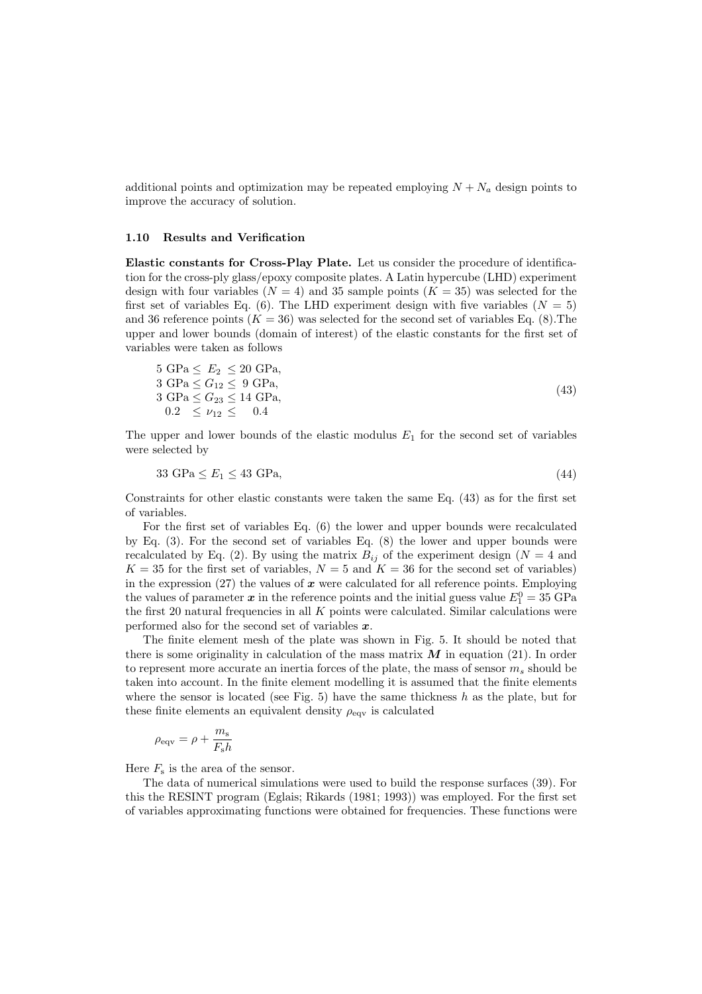additional points and optimization may be repeated employing  $N + N_a$  design points to improve the accuracy of solution.

#### **1.10 Results and Verification**

**Elastic constants for Cross-Play Plate.** Let us consider the procedure of identification for the cross-ply glass/epoxy composite plates. A Latin hypercube (LHD) experiment design with four variables ( $N = 4$ ) and 35 sample points ( $K = 35$ ) was selected for the first set of variables Eq. (6). The LHD experiment design with five variables ( $N = 5$ ) and 36 reference points  $(K = 36)$  was selected for the second set of variables Eq. (8). The upper and lower bounds (domain of interest) of the elastic constants for the first set of variables were taken as follows

$$
5 \text{ GPa} \le E_2 \le 20 \text{ GPa},
$$
  
\n
$$
3 \text{ GPa} \le G_{12} \le 9 \text{ GPa},
$$
  
\n
$$
3 \text{ GPa} \le G_{23} \le 14 \text{ GPa},
$$
  
\n
$$
0.2 \le \nu_{12} \le 0.4
$$
  
\n(43)

The upper and lower bounds of the elastic modulus  $E_1$  for the second set of variables were selected by

$$
33 \text{ GPa} \le E_1 \le 43 \text{ GPa},\tag{44}
$$

Constraints for other elastic constants were taken the same Eq. (43) as for the first set of variables.

For the first set of variables Eq. (6) the lower and upper bounds were recalculated by Eq. (3). For the second set of variables Eq. (8) the lower and upper bounds were recalculated by Eq. (2). By using the matrix  $B_{ij}$  of the experiment design (N = 4 and  $K = 35$  for the first set of variables,  $N = 5$  and  $K = 36$  for the second set of variables) in the expression (27) the values of *x* were calculated for all reference points. Employing the values of parameter  $x$  in the reference points and the initial guess value  $E_1^0 = 35$  GPa the first 20 natural frequencies in all  $K$  points were calculated. Similar calculations were performed also for the second set of variables *x*.

The finite element mesh of the plate was shown in Fig. 5. It should be noted that there is some originality in calculation of the mass matrix  $\boldsymbol{M}$  in equation (21). In order to represent more accurate an inertia forces of the plate, the mass of sensor  $m_s$  should be taken into account. In the finite element modelling it is assumed that the finite elements where the sensor is located (see Fig.  $5$ ) have the same thickness h as the plate, but for these finite elements an equivalent density  $\rho_{\text{eav}}$  is calculated

$$
\rho_{\text{eqv}} = \rho + \frac{m_{\text{s}}}{F_{\text{s}}h}
$$

Here  $F_s$  is the area of the sensor.

The data of numerical simulations were used to build the response surfaces (39). For this the RESINT program (Eglais; Rikards (1981; 1993)) was employed. For the first set of variables approximating functions were obtained for frequencies. These functions were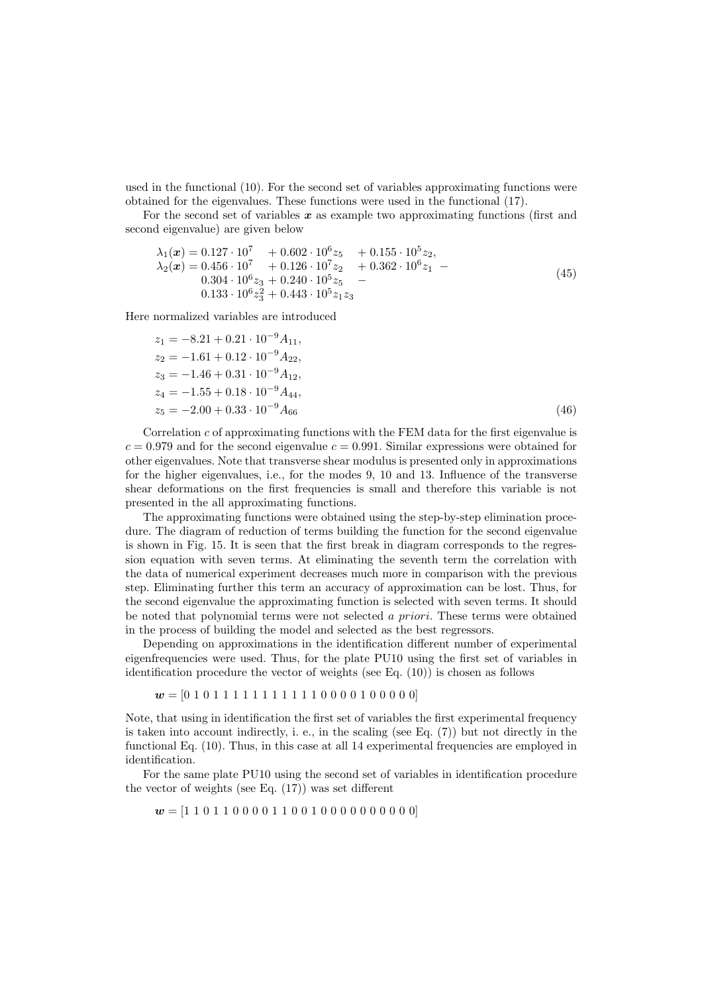used in the functional (10). For the second set of variables approximating functions were obtained for the eigenvalues. These functions were used in the functional (17).

For the second set of variables *x* as example two approximating functions (first and second eigenvalue) are given below

$$
\lambda_1(\boldsymbol{x}) = 0.127 \cdot 10^7 + 0.602 \cdot 10^6 z_5 + 0.155 \cdot 10^5 z_2,\n\lambda_2(\boldsymbol{x}) = 0.456 \cdot 10^7 + 0.126 \cdot 10^7 z_2 + 0.362 \cdot 10^6 z_1 -\n0.304 \cdot 10^6 z_3 + 0.240 \cdot 10^5 z_5 -\n0.133 \cdot 10^6 z_3^2 + 0.443 \cdot 10^5 z_1 z_3
$$
\n(45)

Here normalized variables are introduced

$$
z_1 = -8.21 + 0.21 \cdot 10^{-9} A_{11},
$$
  
\n
$$
z_2 = -1.61 + 0.12 \cdot 10^{-9} A_{22},
$$
  
\n
$$
z_3 = -1.46 + 0.31 \cdot 10^{-9} A_{12},
$$
  
\n
$$
z_4 = -1.55 + 0.18 \cdot 10^{-9} A_{44},
$$
  
\n
$$
z_5 = -2.00 + 0.33 \cdot 10^{-9} A_{66}
$$
\n(46)

Correlation  $c$  of approximating functions with the FEM data for the first eigenvalue is  $c = 0.979$  and for the second eigenvalue  $c = 0.991$ . Similar expressions were obtained for other eigenvalues. Note that transverse shear modulus is presented only in approximations for the higher eigenvalues, i.e., for the modes 9, 10 and 13. Influence of the transverse shear deformations on the first frequencies is small and therefore this variable is not presented in the all approximating functions.

The approximating functions were obtained using the step-by-step elimination procedure. The diagram of reduction of terms building the function for the second eigenvalue is shown in Fig. 15. It is seen that the first break in diagram corresponds to the regression equation with seven terms. At eliminating the seventh term the correlation with the data of numerical experiment decreases much more in comparison with the previous step. Eliminating further this term an accuracy of approximation can be lost. Thus, for the second eigenvalue the approximating function is selected with seven terms. It should be noted that polynomial terms were not selected a priori. These terms were obtained in the process of building the model and selected as the best regressors.

Depending on approximations in the identification different number of experimental eigenfrequencies were used. Thus, for the plate PU10 using the first set of variables in identification procedure the vector of weights (see Eq. (10)) is chosen as follows

*w* = [0 1 0 1 1 1 1 1 1 1 1 1 1 1 0 0 0 0 1 0 0 0 0 0]

Note, that using in identification the first set of variables the first experimental frequency is taken into account indirectly, i. e., in the scaling (see Eq.  $(7)$ ) but not directly in the functional Eq. (10). Thus, in this case at all 14 experimental frequencies are employed in identification.

For the same plate PU10 using the second set of variables in identification procedure the vector of weights (see Eq. (17)) was set different

*w* = [1 1 0 1 1 0 0 0 0 1 1 0 0 1 0 0 0 0 0 0 0 0 0 0]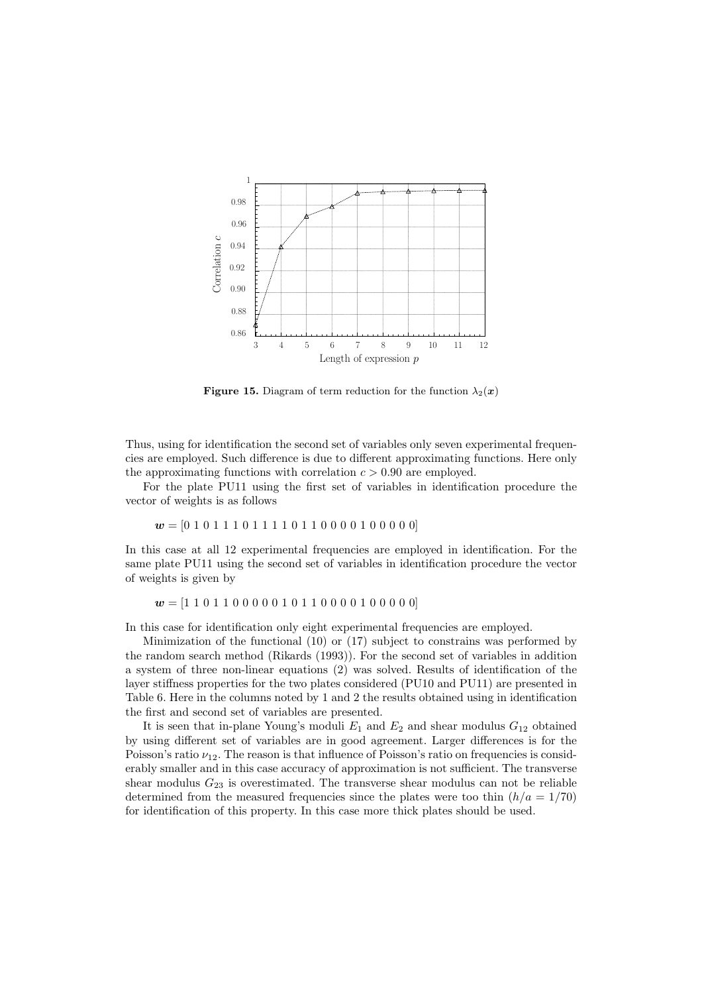

**Figure 15.** Diagram of term reduction for the function  $\lambda_2(x)$ 

Thus, using for identification the second set of variables only seven experimental frequencies are employed. Such difference is due to different approximating functions. Here only the approximating functions with correlation  $c > 0.90$  are employed.

For the plate PU11 using the first set of variables in identification procedure the vector of weights is as follows

*w* = [0 1 0 1 1 1 0 1 1 1 1 0 1 1 0 0 0 0 1 0 0 0 0 0]

In this case at all 12 experimental frequencies are employed in identification. For the same plate PU11 using the second set of variables in identification procedure the vector of weights is given by

*w* = [1 1 0 1 1 0 0 0 0 0 1 0 1 1 0 0 0 0 1 0 0 0 0 0]

In this case for identification only eight experimental frequencies are employed.

Minimization of the functional (10) or (17) subject to constrains was performed by the random search method (Rikards (1993)). For the second set of variables in addition a system of three non-linear equations (2) was solved. Results of identification of the layer stiffness properties for the two plates considered (PU10 and PU11) are presented in Table 6. Here in the columns noted by 1 and 2 the results obtained using in identification the first and second set of variables are presented.

It is seen that in-plane Young's moduli  $E_1$  and  $E_2$  and shear modulus  $G_{12}$  obtained by using different set of variables are in good agreement. Larger differences is for the Poisson's ratio  $\nu_{12}$ . The reason is that influence of Poisson's ratio on frequencies is considerably smaller and in this case accuracy of approximation is not sufficient. The transverse shear modulus  $G_{23}$  is overestimated. The transverse shear modulus can not be reliable determined from the measured frequencies since the plates were too thin  $(h/a = 1/70)$ for identification of this property. In this case more thick plates should be used.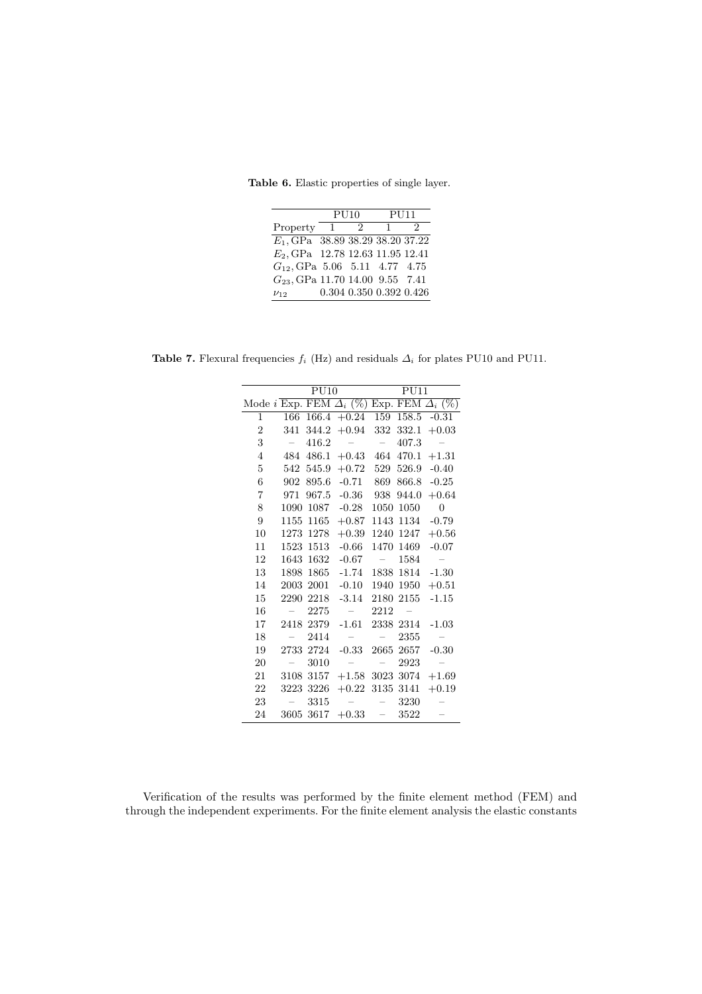**Table 6.** Elastic properties of single layer.

|                                      | PU10          | <b>PU11</b>             |  |
|--------------------------------------|---------------|-------------------------|--|
| Property 1                           | $\mathcal{L}$ | 1                       |  |
| $E_1$ , GPa 38.89 38.29 38.20 37.22  |               |                         |  |
| $E_2$ , GPa 12.78 12.63 11.95 12.41  |               |                         |  |
| $G_{12}$ , GPa 5.06 5.11 4.77 4.75   |               |                         |  |
| $G_{23}$ , GPa 11.70 14.00 9.55 7.41 |               |                         |  |
| $\nu_1$                              |               | 0.304 0.350 0.392 0.426 |  |

**Table 7.** Flexural frequencies  $f_i$  (Hz) and residuals  $\Delta_i$  for plates PU10 and PU11.

|                                                               |                                                             | PU10 |                                                                      | <b>PU11</b> |  |
|---------------------------------------------------------------|-------------------------------------------------------------|------|----------------------------------------------------------------------|-------------|--|
| Mode <i>i</i> Exp. FEM $\Delta_i$ (%) Exp. FEM $\Delta_i$ (%) |                                                             |      |                                                                      |             |  |
| 1                                                             |                                                             |      | $166$ $166.4$ $+0.24$ $159$ $158.5$ $-0.31$                          |             |  |
| $\overline{2}$                                                |                                                             |      | $341$ 344.2 $+0.94$ 332 332.1 $+0.03$                                |             |  |
| 3                                                             |                                                             |      | $-416.2 - -$                                                         | $407.3 -$   |  |
| $\overline{4}$                                                |                                                             |      | 484 486.1 + 0.43 464 470.1 + 1.31                                    |             |  |
| $\overline{5}$                                                |                                                             |      | $542\text{ }545.9\text{ }+0.72\text{ }529\text{ }526.9\text{ }-0.40$ |             |  |
| 6                                                             |                                                             |      | 902 895.6 -0.71 869 866.8 -0.25                                      |             |  |
| $\overline{7}$                                                |                                                             |      | 971 967.5 -0.36 938 944.0 +0.64                                      |             |  |
| 8                                                             |                                                             |      | 1090 1087 -0.28 1050 1050 0                                          |             |  |
| $\boldsymbol{9}$                                              |                                                             |      | 1155 1165 +0.87 1143 1134 -0.79                                      |             |  |
| 10                                                            |                                                             |      | $1273$ 1278 $+0.39$ 1240 1247 $+0.56$                                |             |  |
| 11                                                            |                                                             |      | 1523 1513 -0.66 1470 1469 -0.07                                      |             |  |
| 12                                                            |                                                             |      | $1643 \t1632 \t-0.67$ - 1584 -                                       |             |  |
| 13                                                            |                                                             |      | 1898 1865 -1.74 1838 1814 -1.30                                      |             |  |
|                                                               |                                                             |      | $14$ 2003 2001 -0.10 1940 1950 +0.51                                 |             |  |
|                                                               |                                                             |      | 15 2290 2218 -3.14 2180 2155 -1.15                                   |             |  |
| 16                                                            | $\mathcal{L}^{\mathcal{L}}$ and $\mathcal{L}^{\mathcal{L}}$ |      | $2275 \quad - \quad 2212 \quad -$                                    |             |  |
|                                                               |                                                             |      | 17 2418 2379 -1.61 2338 2314 -1.03                                   |             |  |
| 18                                                            | $\equiv$ $-$                                                |      | $2414 - - -$                                                         | $2355 -$    |  |
|                                                               |                                                             |      | 19 2733 2724 -0.33 2665 2657 -0.30                                   |             |  |
| 20                                                            | $\sim$ $ \sim$                                              |      | $3010 - -2923 -$                                                     |             |  |
|                                                               |                                                             |      | 21 3108 3157 $+1.58$ 3023 3074 $+1.69$                               |             |  |
| 22                                                            |                                                             |      | $3223$ 3226 +0.22 3135 3141 +0.19                                    |             |  |
| 23                                                            |                                                             |      | $3315 - - 3230 -$                                                    |             |  |
|                                                               |                                                             |      | $24$ 3605 3617 +0.33 - 3522 -                                        |             |  |

Verification of the results was performed by the finite element method (FEM) and through the independent experiments. For the finite element analysis the elastic constants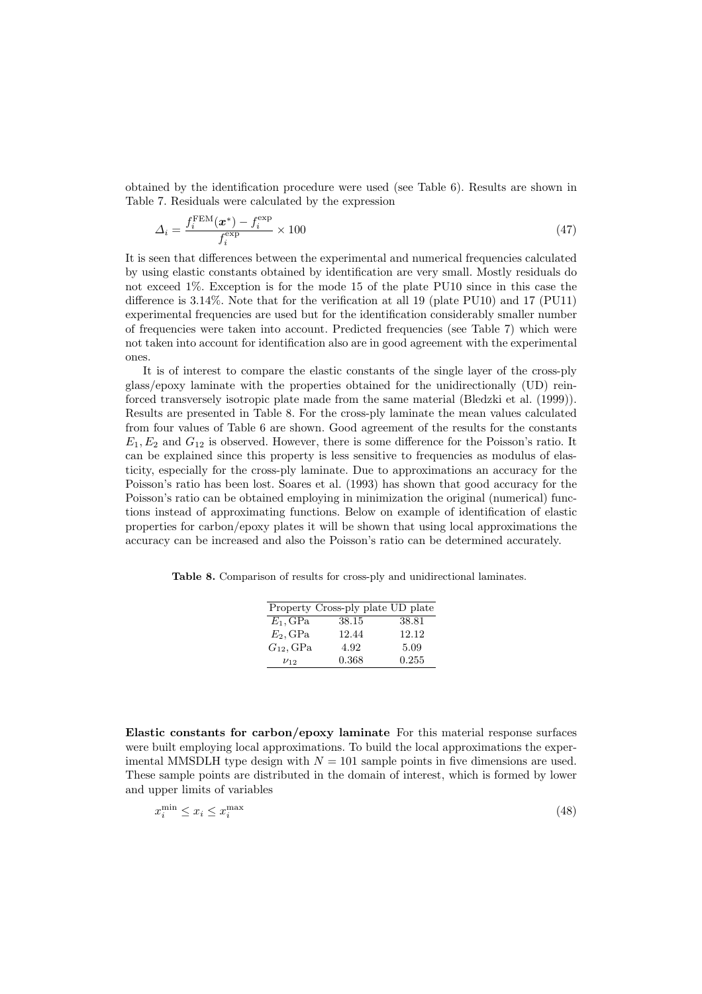obtained by the identification procedure were used (see Table 6). Results are shown in Table 7. Residuals were calculated by the expression

$$
\Delta_i = \frac{f_i^{\text{FEM}}(\boldsymbol{x}^*) - f_i^{\text{exp}}}{f_i^{\text{exp}}} \times 100
$$
\n(47)

It is seen that differences between the experimental and numerical frequencies calculated by using elastic constants obtained by identification are very small. Mostly residuals do not exceed 1%. Exception is for the mode 15 of the plate PU10 since in this case the difference is 3.14%. Note that for the verification at all 19 (plate PU10) and 17 (PU11) experimental frequencies are used but for the identification considerably smaller number of frequencies were taken into account. Predicted frequencies (see Table 7) which were not taken into account for identification also are in good agreement with the experimental ones.

It is of interest to compare the elastic constants of the single layer of the cross-ply glass/epoxy laminate with the properties obtained for the unidirectionally (UD) reinforced transversely isotropic plate made from the same material (Bledzki et al. (1999)). Results are presented in Table 8. For the cross-ply laminate the mean values calculated from four values of Table 6 are shown. Good agreement of the results for the constants  $E_1, E_2$  and  $G_{12}$  is observed. However, there is some difference for the Poisson's ratio. It can be explained since this property is less sensitive to frequencies as modulus of elasticity, especially for the cross-ply laminate. Due to approximations an accuracy for the Poisson's ratio has been lost. Soares et al. (1993) has shown that good accuracy for the Poisson's ratio can be obtained employing in minimization the original (numerical) functions instead of approximating functions. Below on example of identification of elastic properties for carbon/epoxy plates it will be shown that using local approximations the accuracy can be increased and also the Poisson's ratio can be determined accurately.

**Table 8.** Comparison of results for cross-ply and unidirectional laminates.

|                | Property Cross-ply plate UD plate |       |
|----------------|-----------------------------------|-------|
| $E_1$ , GPa    | 38.15                             | 38.81 |
| $E_2$ , GPa    | 12.44                             | 12.12 |
| $G_{12}$ , GPa | 4.92                              | 5.09  |
| $\nu$ 12       | 0.368                             | 0.255 |

**Elastic constants for carbon/epoxy laminate** For this material response surfaces were built employing local approximations. To build the local approximations the experimental MMSDLH type design with  $N = 101$  sample points in five dimensions are used. These sample points are distributed in the domain of interest, which is formed by lower and upper limits of variables

$$
x_i^{\min} \le x_i \le x_i^{\max} \tag{48}
$$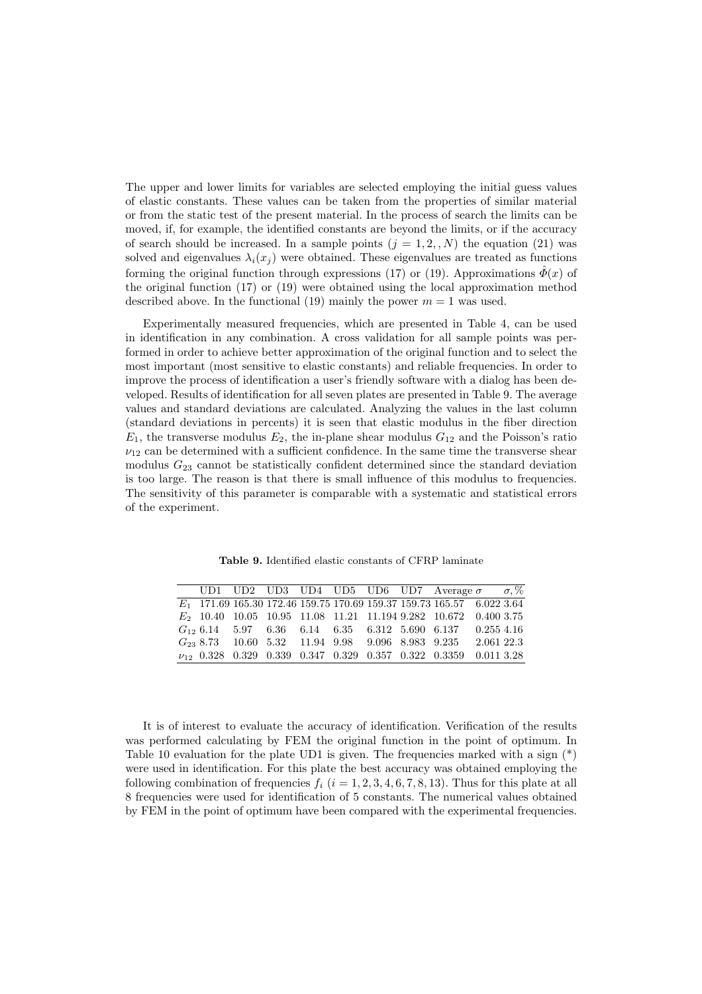The upper and lower limits for variables are selected employing the initial guess values of elastic constants. These values can be taken from the properties of similar material or from the static test of the present material. In the process of search the limits can be moved, if, for example, the identified constants are beyond the limits, or if the accuracy of search should be increased. In a sample points  $(j = 1, 2, N)$  the equation (21) was solved and eigenvalues  $\lambda_i(x_i)$  were obtained. These eigenvalues are treated as functions forming the original function through expressions (17) or (19). Approximations  $\tilde{\Phi}(x)$  of the original function (17) or (19) were obtained using the local approximation method described above. In the functional (19) mainly the power  $m = 1$  was used.

Experimentally measured frequencies, which are presented in Table 4, can be used in identification in any combination. A cross validation for all sample points was performed in order to achieve better approximation of the original function and to select the most important (most sensitive to elastic constants) and reliable frequencies. In order to improve the process of identification a user's friendly software with a dialog has been developed. Results of identification for all seven plates are presented in Table 9. The average values and standard deviations are calculated. Analyzing the values in the last column (standard deviations in percents) it is seen that elastic modulus in the fiber direction  $E_1$ , the transverse modulus  $E_2$ , the in-plane shear modulus  $G_{12}$  and the Poisson's ratio  $\nu_{12}$  can be determined with a sufficient confidence. In the same time the transverse shear modulus  $G_{23}$  cannot be statistically confident determined since the standard deviation is too large. The reason is that there is small influence of this modulus to frequencies. The sensitivity of this parameter is comparable with a systematic and statistical errors of the experiment.

**Table 9.** Identified elastic constants of CFRP laminate

|  |  |  |  | UD1 UD2 UD3 UD4 UD5 UD6 UD7 Average $\sigma$ $\sigma$ , %                |  |
|--|--|--|--|--------------------------------------------------------------------------|--|
|  |  |  |  | $E_1$ 171.69 165.30 172.46 159.75 170.69 159.37 159.73 165.57 6.022 3.64 |  |
|  |  |  |  | $E_2$ 10.40 10.05 10.95 11.08 11.21 11.194 9.282 10.672 0.400 3.75       |  |
|  |  |  |  | $G_{12}$ 6.14 5.97 6.36 6.14 6.35 6.312 5.690 6.137 0.255 4.16           |  |
|  |  |  |  | $G_{23}$ 8.73 10.60 5.32 11.94 9.98 9.096 8.983 9.235 2.061 22.3         |  |
|  |  |  |  | $\nu_{12}$ 0.328 0.329 0.339 0.347 0.329 0.357 0.322 0.3359 0.011 3.28   |  |

It is of interest to evaluate the accuracy of identification. Verification of the results was performed calculating by FEM the original function in the point of optimum. In Table 10 evaluation for the plate UD1 is given. The frequencies marked with a sign (\*) were used in identification. For this plate the best accuracy was obtained employing the following combination of frequencies  $f_i$  ( $i = 1, 2, 3, 4, 6, 7, 8, 13$ ). Thus for this plate at all 8 frequencies were used for identification of 5 constants. The numerical values obtained by FEM in the point of optimum have been compared with the experimental frequencies.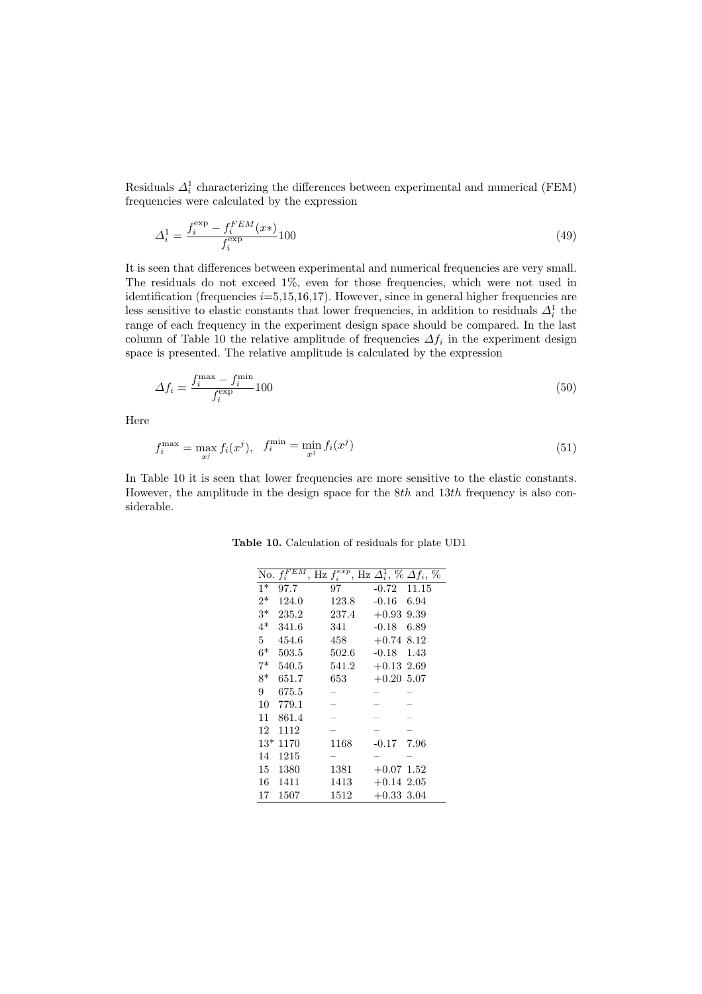Residuals  $\Delta_i^1$  characterizing the differences between experimental and numerical (FEM) frequencies were calculated by the expression

$$
\Delta_i^1 = \frac{f_i^{\text{exp}} - f_i^{\text{FEM}}(x*)}{f_i^{\text{exp}}} 100
$$
\n(49)

It is seen that differences between experimental and numerical frequencies are very small. The residuals do not exceed 1%, even for those frequencies, which were not used in identification (frequencies  $i=5,15,16,17$ ). However, since in general higher frequencies are less sensitive to elastic constants that lower frequencies, in addition to residuals  $\Delta_i^1$  the range of each frequency in the experiment design space should be compared. In the last column of Table 10 the relative amplitude of frequencies  $\Delta f_i$  in the experiment design space is presented. The relative amplitude is calculated by the expression

$$
\Delta f_i = \frac{f_i^{\text{max}} - f_i^{\text{min}}}{f_i^{\text{exp}}} 100
$$
\n
$$
\tag{50}
$$

Here

$$
f_i^{\max} = \max_{x^j} f_i(x^j), \quad f_i^{\min} = \min_{x^j} f_i(x^j)
$$
 (51)

In Table 10 it is seen that lower frequencies are more sensitive to the elastic constants. However, the amplitude in the design space for the  $8th$  and  $13th$  frequency is also considerable.

|                  | No. $f_i^{FEM}$ | $\frac{Hz}{i} f_i^{exp}$ |               | , Hz $\Delta_i^1$ , % $\Delta f_i$ , % |
|------------------|-----------------|--------------------------|---------------|----------------------------------------|
| $\overline{1^*}$ | 97.7            | 97                       | $-0.72$       | 11.15                                  |
| $2*$             | 124.0           | 123.8                    | $-0.16$       | 6.94                                   |
| $3*$             | 235.2           | 237.4                    | $+0.93$       | 9.39                                   |
| $4*$             | 341.6           | 341                      | $-0.18$       | 6.89                                   |
| $5^{\circ}$      | 454.6           | 458                      | $+0.74$ 8.12  |                                        |
| $6*$             | 503.5           | 502.6                    | $-0.18$       | 1.43                                   |
| $7*$             | 540.5           | 541.2                    | $+0.13$ 2.69  |                                        |
| $8*$             | 651.7           | 653                      | $+0.20, 5.07$ |                                        |
| 9                | 675.5           |                          |               |                                        |
| 10               | 779.1           |                          |               |                                        |
| 11               | 861.4           |                          |               |                                        |
| 12               | 1112            |                          |               |                                        |
| $13*$            | 1170            | 1168                     | $-0.17$       | 7.96                                   |
| 14               | 1215            |                          |               |                                        |
| 15               | 1380            | 1381                     | $+0.07$ 1.52  |                                        |
| 16               | 1411            | 1413                     | $+0.14$ 2.05  |                                        |
| 17               | 1507            | 1512                     | $+0.33, 3.04$ |                                        |

**Table 10.** Calculation of residuals for plate UD1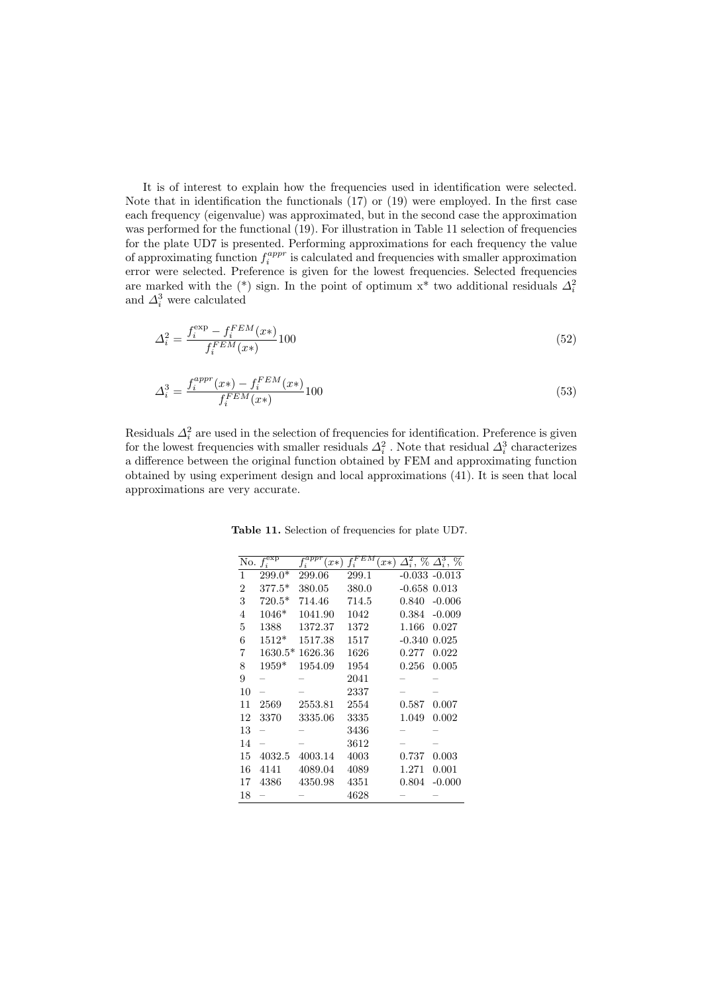It is of interest to explain how the frequencies used in identification were selected. Note that in identification the functionals (17) or (19) were employed. In the first case each frequency (eigenvalue) was approximated, but in the second case the approximation was performed for the functional (19). For illustration in Table 11 selection of frequencies for the plate UD7 is presented. Performing approximations for each frequency the value of approximating function  $f_i^{appr}$  is calculated and frequencies with smaller approximation error were selected. Preference is given for the lowest frequencies. Selected frequencies are marked with the  $(*)$  sign. In the point of optimum x<sup>\*</sup> two additional residuals  $\Delta_i^2$ and  $\Delta_i^3$  were calculated

$$
\Delta_i^2 = \frac{f_i^{\text{exp}} - f_i^{\text{FEM}}(x*)}{f_i^{\text{FEM}}(x*)}100\tag{52}
$$

$$
\Delta_i^3 = \frac{f_i^{appr}(x*) - f_i^{FEM}(x*)}{f_i^{FEM}(x*)}100\tag{53}
$$

Residuals  $\Delta_i^2$  are used in the selection of frequencies for identification. Preference is given for the lowest frequencies with smaller residuals  $\Delta_i^2$ . Note that residual  $\Delta_i^3$  characterizes a difference between the original function obtained by FEM and approximating function obtained by using experiment design and local approximations (41). It is seen that local approximations are very accurate.

| No.            | $f^{\exp}$ | $f_i^{\overline{appr}}$<br>$x*)$ | $f_i^{\overline{FEM}}$<br>$x*)$ |             | $\varDelta_i^2, \, \%\varDelta_i^3, \,\%$ |
|----------------|------------|----------------------------------|---------------------------------|-------------|-------------------------------------------|
| $\mathbf{1}$   | $299.0*$   | 299.06                           | 299.1                           |             | $-0.033 - 0.013$                          |
| $\overline{2}$ | $377.5*$   | 380.05                           | 380.0                           | $-0.658$    | 0.013                                     |
| 3              | $720.5*$   | 714.46                           | 714.5                           | 0.840       | $-0.006$                                  |
| $\overline{4}$ | $1046*$    | 1041.90                          | 1042                            | 0.384       | $-0.009$                                  |
| 5              | 1388       | 1372.37                          | 1372                            | 1.166       | 0.027                                     |
| 6              | $1512*$    | 1517.38                          | 1517                            | $-0.340$    | 0.025                                     |
| 7              | $1630.5*$  | 1626.36                          | 1626                            | 0.277       | 0.022                                     |
| 8              | 1959*      | 1954.09                          | 1954                            | ${0.256}$   | 0.005                                     |
| 9              |            |                                  | 2041                            |             |                                           |
| 10             |            |                                  | 2337                            |             |                                           |
| 11             | 2569       | 2553.81                          | 2554                            | 0.587       | 0.007                                     |
| 12             | 3370       | 3335.06                          | 3335                            | 1.049       | 0.002                                     |
| 13             |            |                                  | 3436                            |             |                                           |
| 14             |            |                                  | 3612                            |             |                                           |
| 15             | 4032.5     | 4003.14                          | 4003                            | $\;\:0.737$ | 0.003                                     |
| 16             | 4141       | 4089.04                          | 4089                            | 1.271       | 0.001                                     |
| 17             | 4386       | 4350.98                          | 4351                            | $\,0.804\,$ | $-0.000$                                  |
| 18             |            |                                  | 4628                            |             |                                           |

Table 11. Selection of frequencies for plate UD7.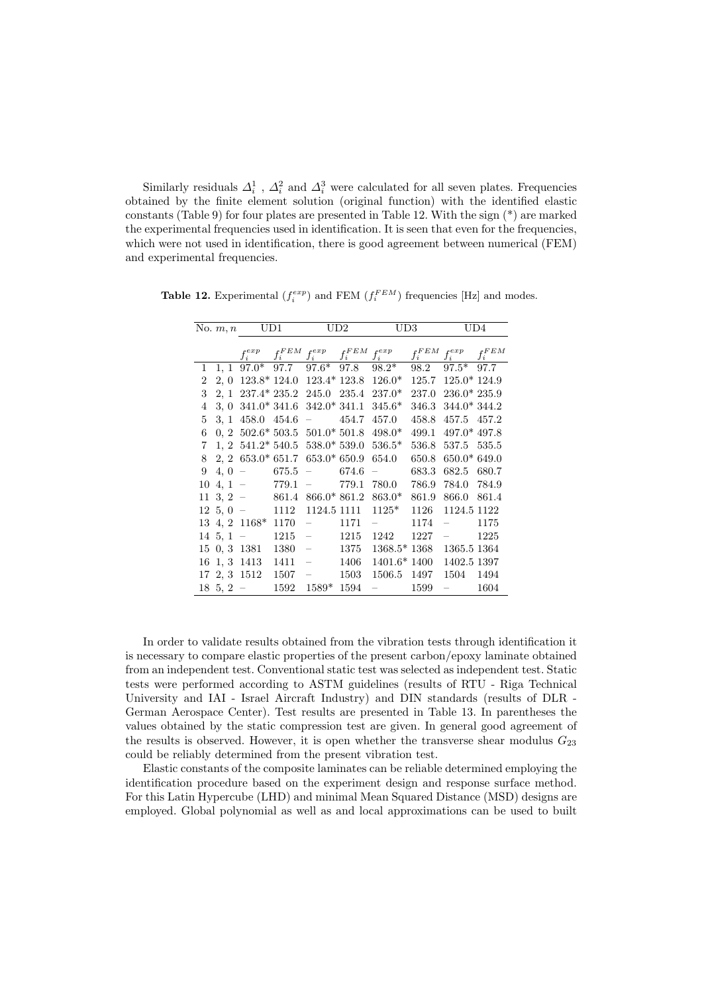Similarly residuals  $\Delta_i^1$ ,  $\Delta_i^2$  and  $\Delta_i^3$  were calculated for all seven plates. Frequencies obtained by the finite element solution (original function) with the identified elastic constants (Table 9) for four plates are presented in Table 12. With the sign (\*) are marked the experimental frequencies used in identification. It is seen that even for the frequencies, which were not used in identification, there is good agreement between numerical (FEM) and experimental frequencies.

**Table 12.** Experimental  $(f_i^{exp})$  and FEM  $(f_i^{FEM})$  frequencies [Hz] and modes.

|                | No. $m, n$ | UD1                             |                       |                                       | UD2                   | UD3                                                           |                       |                                 | UD4         |
|----------------|------------|---------------------------------|-----------------------|---------------------------------------|-----------------------|---------------------------------------------------------------|-----------------------|---------------------------------|-------------|
|                |            | $f_i^{exp}$                     | $f_i^{FEM} f_i^{exp}$ |                                       | $f_i^{FEM} f_i^{exp}$ |                                                               | $f_i^{FEM} f_i^{exp}$ |                                 | $f_i^{FEM}$ |
| 1              |            |                                 |                       | $1, 1$ 97.0* 97.7 97.6* 97.8          |                       | $98.2*$                                                       | 98.2                  | $97.5*$                         | 97.7        |
| $\overline{2}$ |            |                                 |                       |                                       |                       | 2, 0 123.8* 124.0 123.4* 123.8 126.0*                         | 125.7                 | $125.0*124.9$                   |             |
| 3              |            |                                 |                       | 2, 1 237.4* 235.2 245.0 235.4         |                       | $237.0*$                                                      | 237.0                 | $236.0*235.9$                   |             |
| $\overline{4}$ |            |                                 |                       |                                       |                       | 3, 0 $341.0*341.6$ $342.0*341.1$ $345.6*$                     | 346.3                 | 344.0* 344.2                    |             |
| $5^{\circ}$    |            |                                 |                       | $3, 1$ 458.0 454.6 –                  | 454.7                 | 457.0                                                         | 458.8                 | 457.5                           | 457.2       |
| 6              |            |                                 |                       | $0, 2, 502.6^*$ 503.5 $501.0^*$ 501.8 |                       | $498.0*$                                                      | 499.1                 | 497.0* 497.8                    |             |
| 7              |            |                                 |                       | $1, 2$ 541.2* 540.5 538.0* 539.0      |                       | $536.5*$                                                      | 536.8                 | 537.5 535.5                     |             |
| 8              |            | $2, 2, 653.0*651.7$             |                       | $653.0*650.9$                         |                       | 654.0                                                         | 650.8                 | $650.0*649.0$                   |             |
| 9              | 4,0        | $\hspace{0.1mm}-\hspace{0.1mm}$ | 675.5                 | $\equiv$                              | 674.6                 | $\equiv$                                                      | 683.3                 | 682.5                           | 680.7       |
| 10             |            |                                 |                       | $4, 1 - 779.1 -$                      | 779.1                 | 780.0                                                         | 786.9                 | 784.0                           | 784.9       |
|                |            | $11 \t3, 2 - 861.4$             |                       | $866.0*861.2$                         |                       | $863.0*$                                                      | 861.9                 | 866.0                           | 861.4       |
|                |            | $12\,5,0\,-\qquad 1112$         |                       | 1124.5 1111                           |                       | $1125*$                                                       | 1126                  | 1124.5 1122                     |             |
|                |            | $13\,4, 2\,1168^*$              | 1170                  | $\equiv$                              | 1171                  | $\frac{1}{2}$ , $\frac{1}{2}$ , $\frac{1}{2}$ , $\frac{1}{2}$ | 1174                  | $\frac{1}{2}$                   | 1175        |
|                |            | $14\;\;5,\;1\;\;-\;$            | 1215                  | $-1215$                               |                       | 1242                                                          | 1227                  | $\overline{\phantom{0}}$        | 1225        |
|                |            | 15 0, 3 1381                    | 1380                  | $-1375$                               |                       | $1368.5*1368$                                                 |                       | 1365.5 1364                     |             |
|                |            | 16 1, 3 1413                    | 1411                  | $\hspace{0.1cm} -$                    | 1406                  | $1401.6*1400$                                                 |                       | 1402.5 1397                     |             |
|                |            | 17 2, 3 1512                    | 1507                  | $\alpha = 0.000$                      | 1503                  | 1506.5                                                        | 1497                  | 1504                            | 1494        |
|                |            | $18\;\;5,\,2\;\;-\;$            | 1592                  | $1589*$                               | 1594                  | $\frac{1}{2}$ and $\frac{1}{2}$                               | 1599                  | $\frac{1}{2}$ and $\frac{1}{2}$ | 1604        |

In order to validate results obtained from the vibration tests through identification it is necessary to compare elastic properties of the present carbon/epoxy laminate obtained from an independent test. Conventional static test was selected as independent test. Static tests were performed according to ASTM guidelines (results of RTU - Riga Technical University and IAI - Israel Aircraft Industry) and DIN standards (results of DLR - German Aerospace Center). Test results are presented in Table 13. In parentheses the values obtained by the static compression test are given. In general good agreement of the results is observed. However, it is open whether the transverse shear modulus  $G_{23}$ could be reliably determined from the present vibration test.

Elastic constants of the composite laminates can be reliable determined employing the identification procedure based on the experiment design and response surface method. For this Latin Hypercube (LHD) and minimal Mean Squared Distance (MSD) designs are employed. Global polynomial as well as and local approximations can be used to built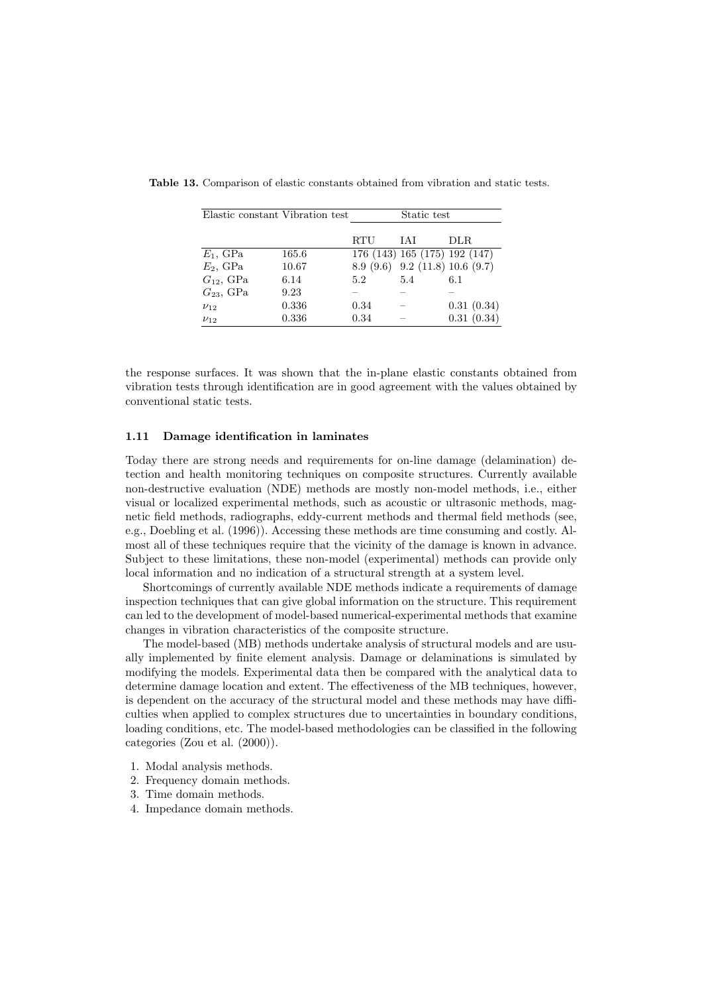| Elastic constant Vibration test |       | Static test |     |                                 |
|---------------------------------|-------|-------------|-----|---------------------------------|
|                                 |       |             |     |                                 |
|                                 |       | RTU         | IAI | DLR                             |
| $E_1$ , GPa                     | 165.6 |             |     | 176 (143) 165 (175) 192 (147)   |
| $E_2$ , GPa                     | 10.67 |             |     | $8.9(9.6)$ $9.2(11.8)10.6(9.7)$ |
| $G_{12}$ , GPa                  | 6.14  | 5.2         | 5.4 | 6.1                             |
| $G_{23}$ , GPa                  | 9.23  |             |     |                                 |
| $\nu_{12}$                      | 0.336 | 0.34        |     | 0.31(0.34)                      |
| $\nu_{12}$                      | 0.336 | 0.34        |     | 0.31(0.34)                      |

**Table 13.** Comparison of elastic constants obtained from vibration and static tests.

the response surfaces. It was shown that the in-plane elastic constants obtained from vibration tests through identification are in good agreement with the values obtained by conventional static tests.

#### **1.11 Damage identification in laminates**

Today there are strong needs and requirements for on-line damage (delamination) detection and health monitoring techniques on composite structures. Currently available non-destructive evaluation (NDE) methods are mostly non-model methods, i.e., either visual or localized experimental methods, such as acoustic or ultrasonic methods, magnetic field methods, radiographs, eddy-current methods and thermal field methods (see, e.g., Doebling et al. (1996)). Accessing these methods are time consuming and costly. Almost all of these techniques require that the vicinity of the damage is known in advance. Subject to these limitations, these non-model (experimental) methods can provide only local information and no indication of a structural strength at a system level.

Shortcomings of currently available NDE methods indicate a requirements of damage inspection techniques that can give global information on the structure. This requirement can led to the development of model-based numerical-experimental methods that examine changes in vibration characteristics of the composite structure.

The model-based (MB) methods undertake analysis of structural models and are usually implemented by finite element analysis. Damage or delaminations is simulated by modifying the models. Experimental data then be compared with the analytical data to determine damage location and extent. The effectiveness of the MB techniques, however, is dependent on the accuracy of the structural model and these methods may have difficulties when applied to complex structures due to uncertainties in boundary conditions, loading conditions, etc. The model-based methodologies can be classified in the following categories (Zou et al. (2000)).

- 1. Modal analysis methods.
- 2. Frequency domain methods.
- 3. Time domain methods.
- 4. Impedance domain methods.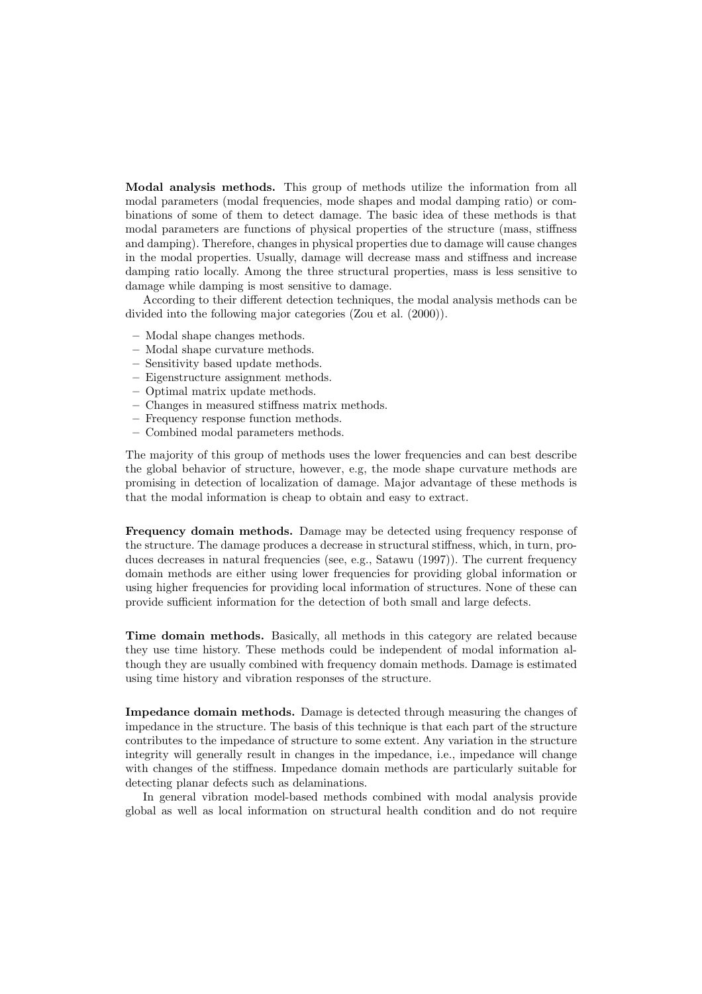**Modal analysis methods.** This group of methods utilize the information from all modal parameters (modal frequencies, mode shapes and modal damping ratio) or combinations of some of them to detect damage. The basic idea of these methods is that modal parameters are functions of physical properties of the structure (mass, stiffness and damping). Therefore, changes in physical properties due to damage will cause changes in the modal properties. Usually, damage will decrease mass and stiffness and increase damping ratio locally. Among the three structural properties, mass is less sensitive to damage while damping is most sensitive to damage.

According to their different detection techniques, the modal analysis methods can be divided into the following major categories (Zou et al. (2000)).

- **–** Modal shape changes methods.
- **–** Modal shape curvature methods.
- **–** Sensitivity based update methods.
- **–** Eigenstructure assignment methods.
- **–** Optimal matrix update methods.
- **–** Changes in measured stiffness matrix methods.
- **–** Frequency response function methods.
- **–** Combined modal parameters methods.

The majority of this group of methods uses the lower frequencies and can best describe the global behavior of structure, however, e.g, the mode shape curvature methods are promising in detection of localization of damage. Major advantage of these methods is that the modal information is cheap to obtain and easy to extract.

**Frequency domain methods.** Damage may be detected using frequency response of the structure. The damage produces a decrease in structural stiffness, which, in turn, produces decreases in natural frequencies (see, e.g., Satawu (1997)). The current frequency domain methods are either using lower frequencies for providing global information or using higher frequencies for providing local information of structures. None of these can provide sufficient information for the detection of both small and large defects.

**Time domain methods.** Basically, all methods in this category are related because they use time history. These methods could be independent of modal information although they are usually combined with frequency domain methods. Damage is estimated using time history and vibration responses of the structure.

**Impedance domain methods.** Damage is detected through measuring the changes of impedance in the structure. The basis of this technique is that each part of the structure contributes to the impedance of structure to some extent. Any variation in the structure integrity will generally result in changes in the impedance, i.e., impedance will change with changes of the stiffness. Impedance domain methods are particularly suitable for detecting planar defects such as delaminations.

In general vibration model-based methods combined with modal analysis provide global as well as local information on structural health condition and do not require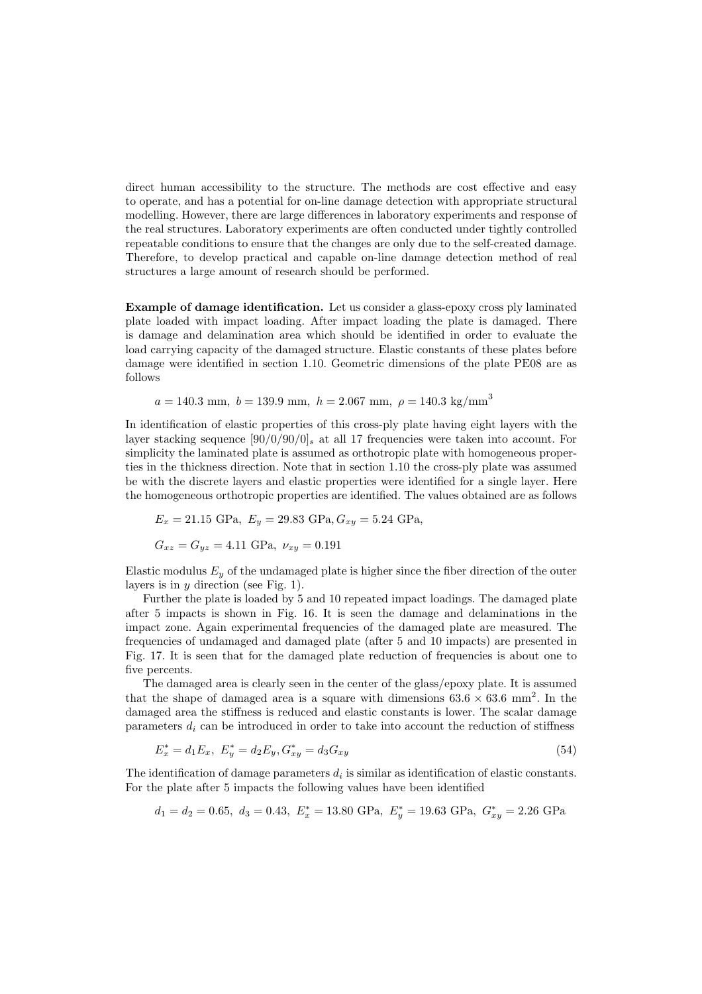direct human accessibility to the structure. The methods are cost effective and easy to operate, and has a potential for on-line damage detection with appropriate structural modelling. However, there are large differences in laboratory experiments and response of the real structures. Laboratory experiments are often conducted under tightly controlled repeatable conditions to ensure that the changes are only due to the self-created damage. Therefore, to develop practical and capable on-line damage detection method of real structures a large amount of research should be performed.

**Example of damage identification.** Let us consider a glass-epoxy cross ply laminated plate loaded with impact loading. After impact loading the plate is damaged. There is damage and delamination area which should be identified in order to evaluate the load carrying capacity of the damaged structure. Elastic constants of these plates before damage were identified in section 1.10. Geometric dimensions of the plate PE08 are as follows

$$
a = 140.3
$$
 mm,  $b = 139.9$  mm,  $h = 2.067$  mm,  $\rho = 140.3$  kg/mm<sup>3</sup>

In identification of elastic properties of this cross-ply plate having eight layers with the layer stacking sequence  $[90/0/90/0]$ <sub>s</sub> at all 17 frequencies were taken into account. For simplicity the laminated plate is assumed as orthotropic plate with homogeneous properties in the thickness direction. Note that in section 1.10 the cross-ply plate was assumed be with the discrete layers and elastic properties were identified for a single layer. Here the homogeneous orthotropic properties are identified. The values obtained are as follows

$$
E_x = 21.15
$$
 GPa,  $E_y = 29.83$  GPa,  $G_{xy} = 5.24$  GPa,  
 $G_{xz} = G_{yz} = 4.11$  GPa,  $\nu_{xy} = 0.191$ 

Elastic modulus  $E_y$  of the undamaged plate is higher since the fiber direction of the outer layers is in  $y$  direction (see Fig. 1).

Further the plate is loaded by 5 and 10 repeated impact loadings. The damaged plate after 5 impacts is shown in Fig. 16. It is seen the damage and delaminations in the impact zone. Again experimental frequencies of the damaged plate are measured. The frequencies of undamaged and damaged plate (after 5 and 10 impacts) are presented in Fig. 17. It is seen that for the damaged plate reduction of frequencies is about one to five percents.

The damaged area is clearly seen in the center of the glass/epoxy plate. It is assumed that the shape of damaged area is a square with dimensions  $63.6 \times 63.6$  mm<sup>2</sup>. In the damaged area the stiffness is reduced and elastic constants is lower. The scalar damage parameters  $d_i$  can be introduced in order to take into account the reduction of stiffness

$$
E_x^* = d_1 E_x, \ E_y^* = d_2 E_y, G_{xy}^* = d_3 G_{xy}
$$
\n
$$
(54)
$$

The identification of damage parameters  $d_i$  is similar as identification of elastic constants. For the plate after 5 impacts the following values have been identified

$$
d_1 = d_2 = 0.65, \ d_3 = 0.43, \ E_x^* = 13.80 \text{ GPa}, \ E_y^* = 19.63 \text{ GPa}, \ G_{xy}^* = 2.26 \text{ GPa}
$$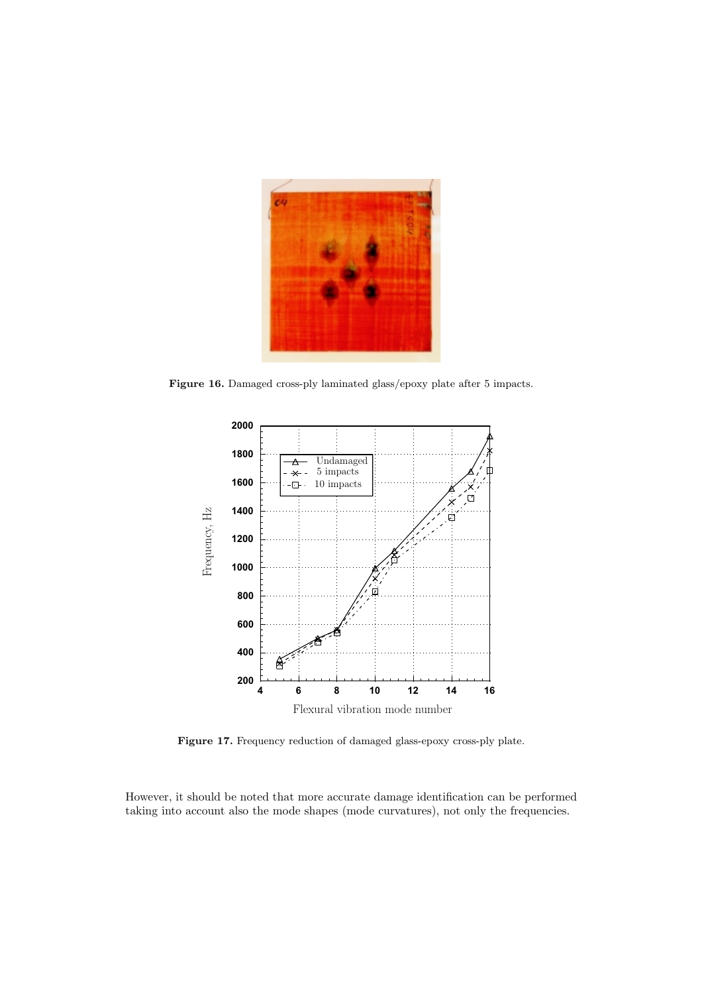

Figure 16. Damaged cross-ply laminated glass/epoxy plate after 5 impacts.



Figure 17. Frequency reduction of damaged glass-epoxy cross-ply plate.

However, it should be noted that more accurate damage identification can be performed taking into account also the mode shapes (mode curvatures), not only the frequencies.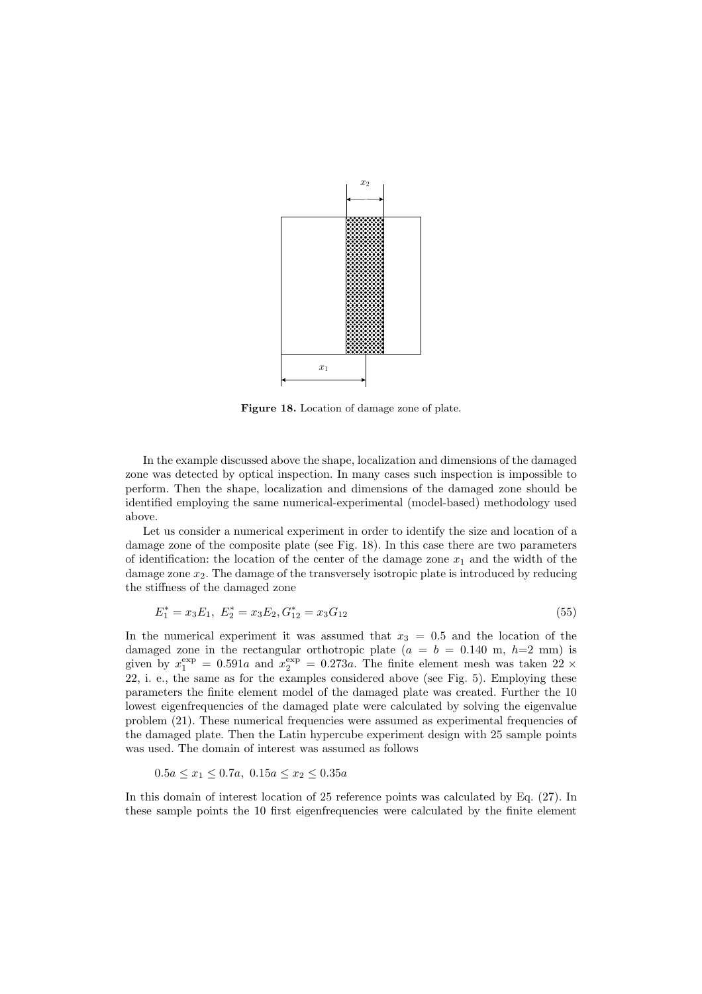

**Figure 18.** Location of damage zone of plate.

In the example discussed above the shape, localization and dimensions of the damaged zone was detected by optical inspection. In many cases such inspection is impossible to perform. Then the shape, localization and dimensions of the damaged zone should be identified employing the same numerical-experimental (model-based) methodology used above.

Let us consider a numerical experiment in order to identify the size and location of a damage zone of the composite plate (see Fig. 18). In this case there are two parameters of identification: the location of the center of the damage zone  $x_1$  and the width of the damage zone  $x_2$ . The damage of the transversely isotropic plate is introduced by reducing the stiffness of the damaged zone

$$
E_1^* = x_3 E_1, \ E_2^* = x_3 E_2, G_{12}^* = x_3 G_{12} \tag{55}
$$

In the numerical experiment it was assumed that  $x_3 = 0.5$  and the location of the damaged zone in the rectangular orthotropic plate  $(a = b = 0.140 \text{ m}, h=2 \text{ mm})$  is given by  $x_1^{\text{exp}} = 0.591a$  and  $x_2^{\text{exp}} = 0.273a$ . The finite element mesh was taken 22 × 22, i. e., the same as for the examples considered above (see Fig. 5). Employing these parameters the finite element model of the damaged plate was created. Further the 10 lowest eigenfrequencies of the damaged plate were calculated by solving the eigenvalue problem (21). These numerical frequencies were assumed as experimental frequencies of the damaged plate. Then the Latin hypercube experiment design with 25 sample points was used. The domain of interest was assumed as follows

$$
0.5a \le x_1 \le 0.7a, \ 0.15a \le x_2 \le 0.35a
$$

In this domain of interest location of 25 reference points was calculated by Eq. (27). In these sample points the 10 first eigenfrequencies were calculated by the finite element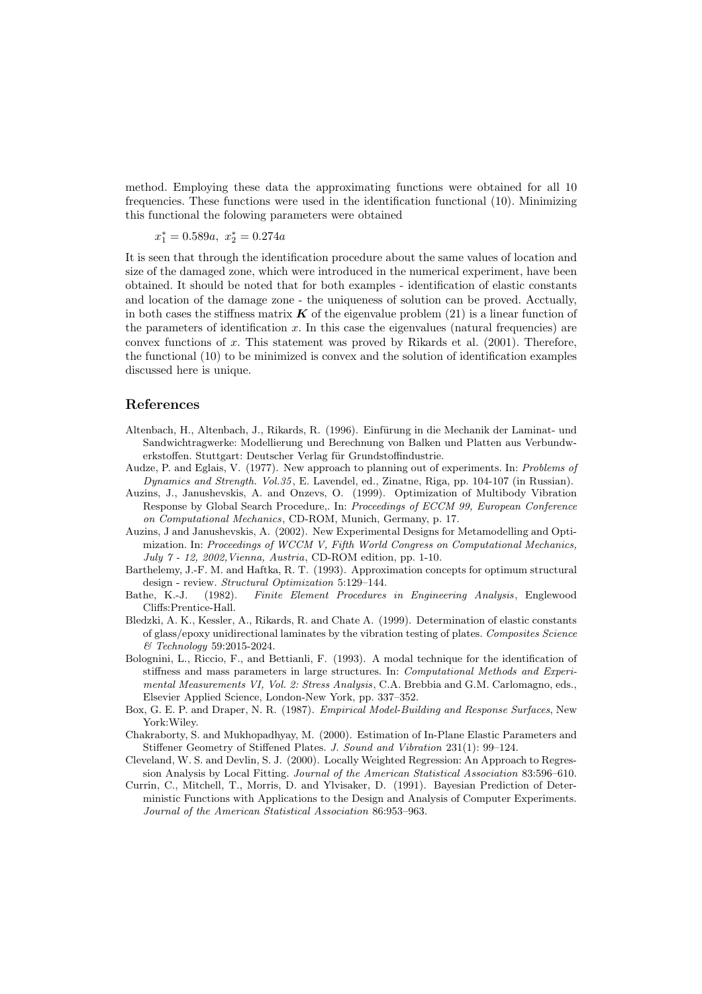method. Employing these data the approximating functions were obtained for all 10 frequencies. These functions were used in the identification functional (10). Minimizing this functional the folowing parameters were obtained

 $x_1^* = 0.589a, x_2^* = 0.274a$ 

It is seen that through the identification procedure about the same values of location and size of the damaged zone, which were introduced in the numerical experiment, have been obtained. It should be noted that for both examples - identification of elastic constants and location of the damage zone - the uniqueness of solution can be proved. Acctually, in both cases the stiffness matrix  $\boldsymbol{K}$  of the eigenvalue problem (21) is a linear function of the parameters of identification  $x$ . In this case the eigenvalues (natural frequencies) are convex functions of  $x$ . This statement was proved by Rikards et al.  $(2001)$ . Therefore, the functional (10) to be minimized is convex and the solution of identification examples discussed here is unique.

## **References**

- Altenbach, H., Altenbach, J., Rikards, R. (1996). Einfürung in die Mechanik der Laminat- und Sandwichtragwerke: Modellierung und Berechnung von Balken und Platten aus Verbundwerkstoffen. Stuttgart: Deutscher Verlag für Grundstoffindustrie.
- Audze, P. and Eglais, V. (1977). New approach to planning out of experiments. In: *Problems of Dynamics and Strength. Vol.35* , E. Lavendel, ed., Zinatne, Riga, pp. 104-107 (in Russian).
- Auzins, J., Janushevskis, A. and Onzevs, O. (1999). Optimization of Multibody Vibration Response by Global Search Procedure,. In: *Proceedings of ECCM 99, European Conference on Computational Mechanics*, CD- ROM, Munich, Germany, p. 17.
- Auzins, J and Janushevskis, A. (2002). New Experimental Designs for Metamodelling and Optimization. In: *Proceedings of WCCM V, Fifth World Congress on Computational Mechanics, July 7 - 12, 2002,Vienna, Austria*, CD-ROM edition, pp. 1-10.
- Barthelemy, J.-F. M. and Haftka, R. T. (1993). Approximation concepts for optimum structural design - review. *Structural Optimization* 5:129-144.
- Bathe, K.-J. (1982). *Finite Element Procedures in Engineering Analysis*, Englewood Cliffs:Prentice-Hall.
- Bledzki, A. K., Kessler, A., Rikards, R. and Chate A. (1999). Determination of elastic constants of glass/epoxy unidirectional laminates by the vibration testing of plates. *Composites Science & Technology* 59:2015-2024.
- Bolognini, L., Riccio, F., and Bettianli, F. (1993). A modal technique for the identification of stiffness and mass parameters in large structures. In: *Computational Methods and Experimental Measurements VI, Vol. 2: Stress Analysis*, C.A. Brebbia and G.M. Carlomagno, eds., Elsevier Applied Science, London-New York, pp. 337–352.
- Box, G. E. P. and Draper, N. R. (1987). *Empirical Model-Building and Response Surfaces*, New York:Wiley.
- Chakraborty, S. and Mukhopadhyay, M. (2000). Estimation of In-Plane Elastic Parameters and Stiffener Geometry of Stiffened Plates. *J. Sound and Vibration* 231(1): 99–124.
- Cleveland, W. S. and Devlin, S. J. (2000). Locally Weighted Regression: An Approach to Regression Analysis by Local Fitting. *Journal of the American Statistical Association* 83:596–610.
- Currin, C., Mitchell, T., Morris, D. and Ylvisaker, D. (1991). Bayesian Prediction of Deterministic Functions with Applications to the Design and Analysis of Computer Experiments. *Journal of the American Statistical Association* 86:953–963.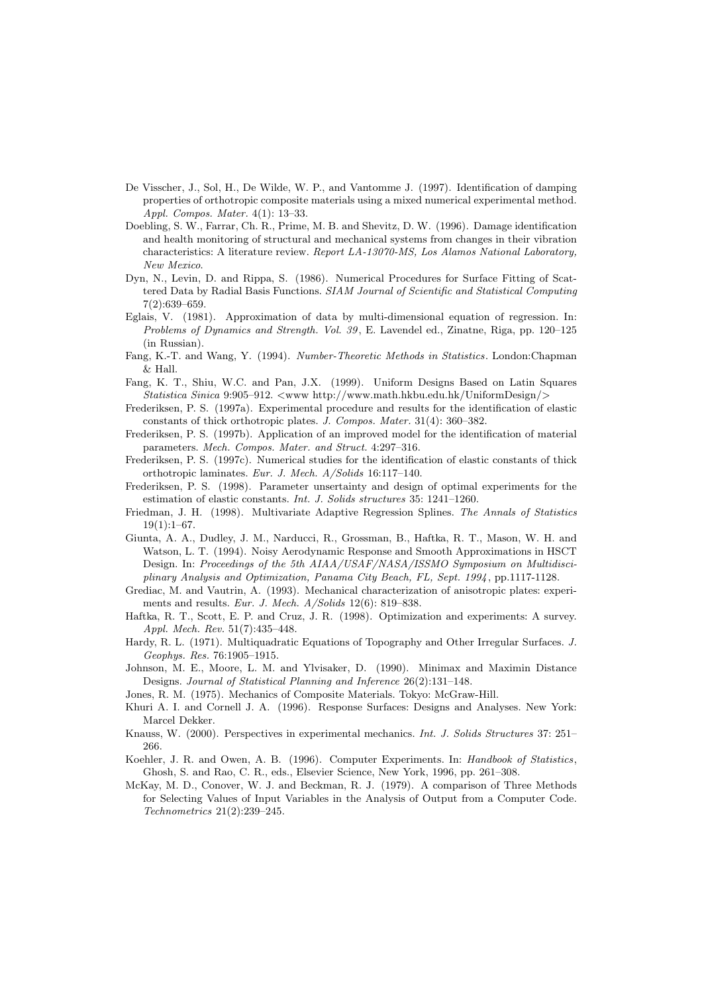- De Visscher, J., Sol, H., De Wilde, W. P., and Vantomme J. (1997). Identification of damping properties of orthotropic composite materials using a mixed numerical experimental method. *Appl. Compos. Mater.* 4(1): 13–33.
- Doebling, S. W., Farrar, Ch. R., Prime, M. B. and Shevitz, D. W. (1996). Damage identification and health monitoring of structural and mechanical systems from changes in their vibration characteristics: A literature review. *Report LA-13070-MS, Los Alamos National Laboratory, New Mexico*.
- Dyn, N., Levin, D. and Rippa, S. (1986). Numerical Procedures for Surface Fitting of Scattered Data by Radial Basis Functions. *SIAM Journal of Scientific and Statistical Computing* 7(2):639–659.
- Eglais, V. (1981). Approximation of data by multi-dimensional equation of regression. In: *Problems of Dynamics and Strength. Vol. 39* , E. Lavendel ed., Zinatne, Riga, pp. 120–125 (in Russian).
- Fang, K.-T. and Wang, Y. (1994). *Number-Theoretic Methods in Statistics*. London:Chapman & Hall.
- Fang, K. T., Shiu, W.C. and Pan, J.X. (1999). Uniform Designs Based on Latin Squares *Statistica Sinica* 9:905–912. <www http://www.math.hkbu.edu.hk/UniformDesign/>
- Frederiksen, P. S. (1997a). Experimental procedure and results for the identification of elastic constants of thick orthotropic plates. *J. Compos. Mater.* 31(4): 360–382.
- Frederiksen, P. S. (1997b). Application of an improved model for the identification of material parameters. *Mech. Compos. Mater. and Struct.* 4:297–316.
- Frederiksen, P. S. (1997c). Numerical studies for the identification of elastic constants of thick orthotropic laminates. *Eur. J. Mech. A/Solids* 16:117–140.
- Frederiksen, P. S. (1998). Parameter unsertainty and design of optimal experiments for the estimation of elastic constants. *Int. J. Solids structures* 35: 1241–1260.
- Friedman, J. H. (1998). Multivariate Adaptive Regression Splines. *The Annals of Statistics*  $19(1):1-67.$
- Giunta, A. A., Dudley, J. M., Narducci, R., Grossman, B., Haftka, R. T., Mason, W. H. and Watson, L. T. (1994). Noisy Aerodynamic Response and Smooth Approximations in HSCT Design. In: *Proceedings of the 5th AIAA/USAF/NASA/ISSMO Symposium on Multidisciplinary Analysis and Optimization, Panama City Beach, FL, Sept. 1994*, pp.1117-1128.
- Grediac, M. and Vautrin, A. (1993). Mechanical characterization of anisotropic plates: experiments and results. *Eur. J. Mech. A/Solids* 12(6): 819–838.
- Haftka, R. T., Scott, E. P. and Cruz, J. R. (1998). Optimization and experiments: A survey. *Appl. Mech. Rev.* 51(7):435–448.
- Hardy, R. L. (1971). Multiquadratic Equations of Topography and Other Irregular Surfaces. *J. Geophys. Res.* 76:1905–1915.
- Johnson, M. E., Moore, L. M. and Ylvisaker, D. (1990). Minimax and Maximin Distance Designs. *Journal of Statistical Planning and Inference* 26(2):131–148.
- Jones, R. M. (1975). Mechanics of Composite Materials. Tokyo: McGraw-Hill.
- Khuri A. I. and Cornell J. A. (1996). Response Surfaces: Designs and Analyses. New York: Marcel Dekker.
- Knauss, W. (2000). Perspectives in experimental mechanics. *Int. J. Solids Structures* 37: 251– 266.
- Koehler, J. R. and Owen, A. B. (1996). Computer Experiments. In: *Handbook of Statistics*, Ghosh, S. and Rao, C. R., eds., Elsevier Science, New York, 1996, pp. 261–308.
- McKay, M. D., Conover, W. J. and Beckman, R. J. (1979). A comparison of Three Methods for Selecting Values of Input Variables in the Analysis of Output from a Computer Code. *Technometrics* 21(2):239–245.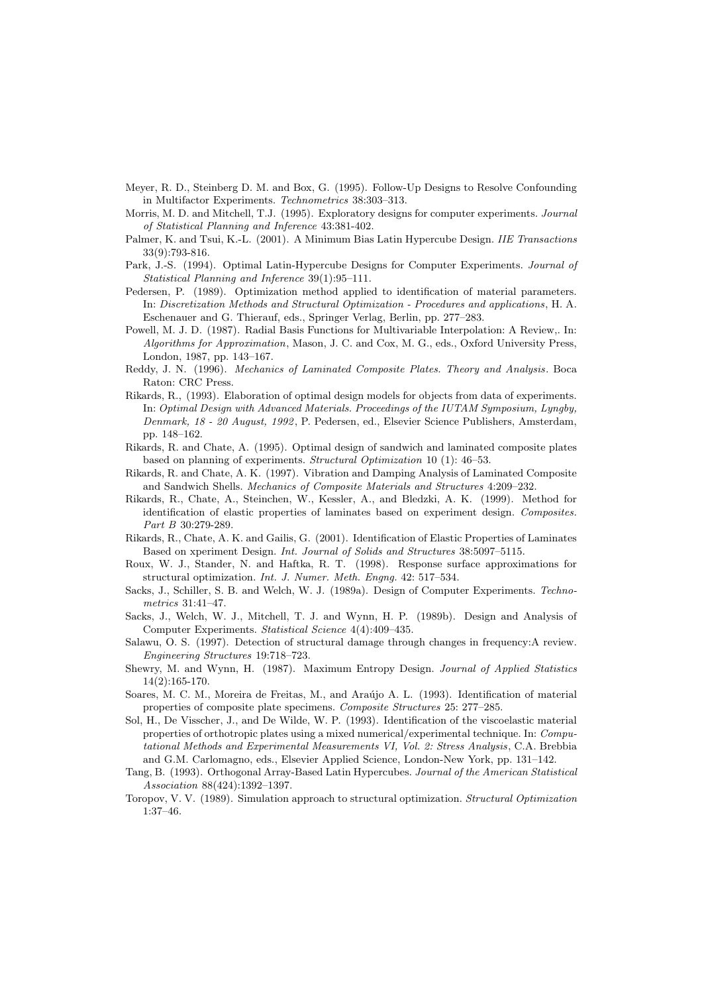- Meyer, R. D., Steinberg D. M. and Box, G. (1995). Follow-Up Designs to Resolve Confounding in Multifactor Experiments. *Technometrics* 38:303–313.
- Morris, M. D. and Mitchell, T.J. (1995). Exploratory designs for computer experiments. *Journal of Statistical Planning and Inference* 43:381-402.
- Palmer, K. and Tsui, K.-L. (2001). A Minimum Bias Latin Hypercube Design. *IIE Transactions* 33(9):793-816.
- Park, J.-S. (1994). Optimal Latin-Hypercube Designs for Computer Experiments. *Journal of Statistical Planning and Inference* 39(1):95–111.
- Pedersen, P. (1989). Optimization method applied to identification of material parameters. In: *Discretization Methods and Structural Optimization - Procedures and applications*, H. A. Eschenauer and G. Thierauf, eds., Springer Verlag, Berlin, pp. 277–283.
- Powell, M. J. D. (1987). Radial Basis Functions for Multivariable Interpolation: A Review,. In: *Algorithms for Approximation*, Mason, J. C. and Cox, M. G., eds., Oxford University Press, London, 1987, pp. 143–167.
- Reddy, J. N. (1996). *Mechanics of Laminated Composite Plates. Theory and Analysis*. Boca Raton: CRC Press.
- Rikards, R., (1993). Elaboration of optimal design models for objects from data of experiments. In: *Optimal Design with Advanced Materials. Proceedings of the IUTAM Symposium, Lyngby, Denmark, 18 - 20 August, 1992* , P. Pedersen, ed., Elsevier Science Publishers, Amsterdam, pp. 148–162.
- Rikards, R. and Chate, A. (1995). Optimal design of sandwich and laminated composite plates based on planning of experiments. *Structural Optimization* 10 (1): 46–53.
- Rikards, R. and Chate, A. K. (1997). Vibration and Damping Analysis of Laminated Composite and Sandwich Shells. *Mechanics of Composite Materials and Structures* 4:209–232.
- Rikards, R., Chate, A., Steinchen, W., Kessler, A., and Bledzki, A. K. (1999). Method for identification of elastic properties of laminates based on experiment design. *Composites. Part B* 30:279-289.
- Rikards, R., Chate, A. K. and Gailis, G. (2001). Identification of Elastic Properties of Laminates Based on xperiment Design. *Int. Journal of Solids and Structures* 38:5097–5115.
- Roux, W. J., Stander, N. and Haftka, R. T. (1998). Response surface approximations for structural optimization. *Int. J. Numer. Meth. Engng.* 42: 517–534.
- Sacks, J., Schiller, S. B. and Welch, W. J. (1989a). Design of Computer Experiments. *Technometrics* 31:41–47.
- Sacks, J., Welch, W. J., Mitchell, T. J. and Wynn, H. P. (1989b). Design and Analysis of Computer Experiments. *Statistical Science* 4(4):409–435.
- Salawu, O. S. (1997). Detection of structural damage through changes in frequency:A review. *Engineering Structures* 19:718–723.
- Shewry, M. and Wynn, H. (1987). Maximum Entropy Design. *Journal of Applied Statistics* 14(2):165-170.
- Soares, M. C. M., Moreira de Freitas, M., and Araújo A. L. (1993). Identification of material properties of composite plate specimens. *Composite Structures* 25: 277–285.
- Sol, H., De Visscher, J., and De Wilde, W. P. (1993). Identification of the viscoelastic material properties of orthotropic plates using a mixed numerical/experimental technique. In: *Computational Methods and Experimental Measurements VI, Vol. 2: Stress Analysis*, C.A. Brebbia and G.M. Carlomagno, eds., Elsevier Applied Science, London-New York, pp. 131–142.
- Tang, B. (1993). Orthogonal Array-Based Latin Hypercubes. *Journal of the American Statistical Association* 88(424):1392–1397.
- Toropov, V. V. (1989). Simulation approach to structural optimization. *Structural Optimization* 1:37–46.